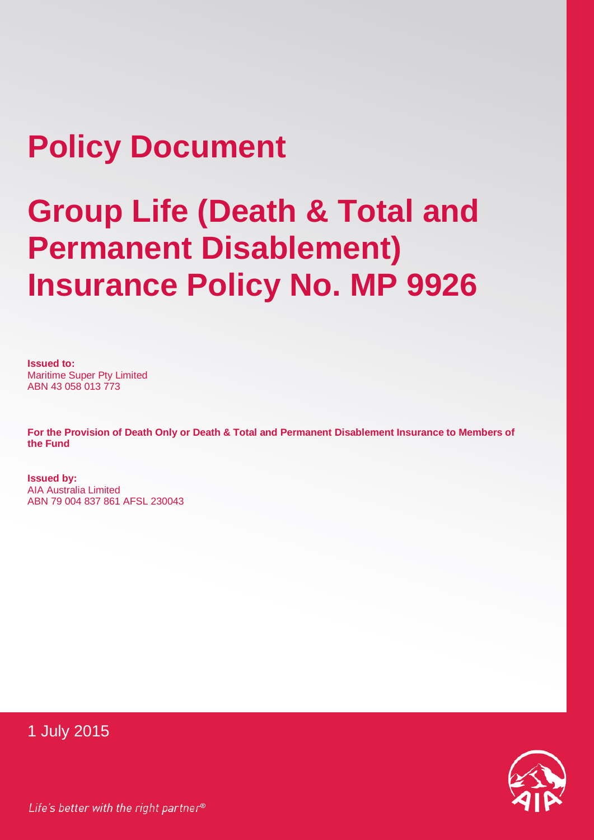# **Policy Document**

# **Group Life (Death & Total and Permanent Disablement) Insurance Policy No. MP 9926**

**Issued to:** Maritime Super Pty Limited ABN 43 058 013 773

**For the Provision of Death Only or Death & Total and Permanent Disablement Insurance to Members of the Fund**

**Issued by:**  AIA Australia Limited ABN 79 004 837 861 AFSL 230043

1 July 2015



Life's better with the right partner®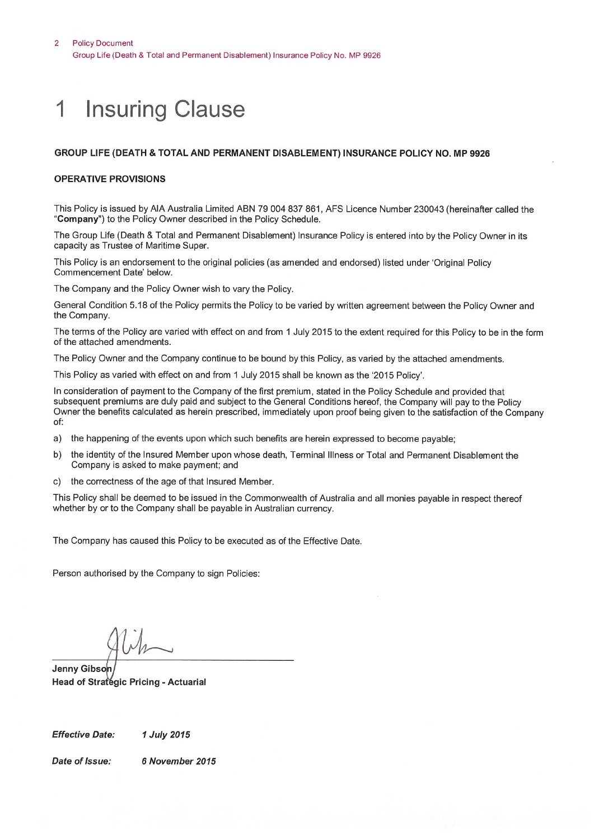## 1 **Insuring Clause**

#### GROUP LIFE (DEATH & TOTAL AND PERMANENT DISABLEMENT) INSURANCE POLICY NO. MP 9926

#### **OPERATIVE PROVISIONS**

This Policy is issued by AIA Australia Limited ABN 79 004 837 861, AFS Licence Number 230043 (hereinafter called the "Company") to the Policy Owner described in the Policy Schedule.

The Group Life (Death & Total and Permanent Disablement) Insurance Policy is entered into by the Policy Owner in its capacity as Trustee of Maritime Super.

This Policy is an endorsement to the original policies (as amended and endorsed) listed under 'Original Policy Commencement Date' below.

The Company and the Policy Owner wish to vary the Policy.

General Condition 5.18 of the Policy permits the Policy to be varied by written agreement between the Policy Owner and the Company.

The terms of the Policy are varied with effect on and from 1 July 2015 to the extent required for this Policy to be in the form of the attached amendments.

The Policy Owner and the Company continue to be bound by this Policy, as varied by the attached amendments.

This Policy as varied with effect on and from 1 July 2015 shall be known as the '2015 Policy'.

In consideration of payment to the Company of the first premium, stated in the Policy Schedule and provided that subsequent premiums are duly paid and subject to the General Conditions hereof, the Company will pay to the Policy Owner the benefits calculated as herein prescribed, immediately upon proof being given to the satisfaction of the Company of:

- the happening of the events upon which such benefits are herein expressed to become payable; a)
- the identity of the Insured Member upon whose death, Terminal Illness or Total and Permanent Disablement the  $b)$ Company is asked to make payment; and
- $\mathbf{C}$ the correctness of the age of that Insured Member.

This Policy shall be deemed to be issued in the Commonwealth of Australia and all monies payable in respect thereof whether by or to the Company shall be payable in Australian currency.

The Company has caused this Policy to be executed as of the Effective Date.

Person authorised by the Company to sign Policies:

Jenny Gibson Head of Strategic Pricing - Actuarial

**Effective Date:** 

1 July 2015

Date of Issue: 6 November 2015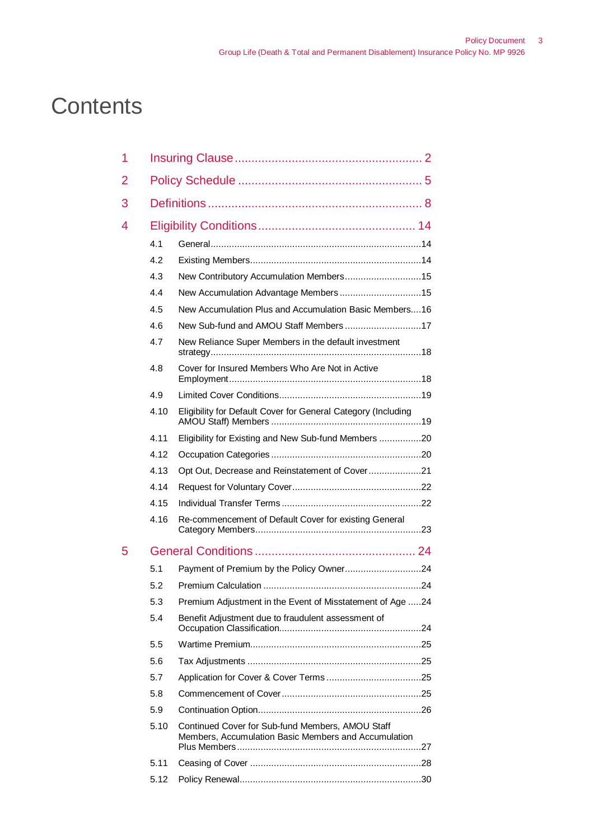## **Contents**

| 1 |      |                                                                                                          |  |  |  |  |
|---|------|----------------------------------------------------------------------------------------------------------|--|--|--|--|
| 2 |      |                                                                                                          |  |  |  |  |
| 3 |      |                                                                                                          |  |  |  |  |
| 4 |      |                                                                                                          |  |  |  |  |
|   | 4.1  |                                                                                                          |  |  |  |  |
|   | 4.2  |                                                                                                          |  |  |  |  |
|   | 4.3  | New Contributory Accumulation Members15                                                                  |  |  |  |  |
|   | 4.4  |                                                                                                          |  |  |  |  |
|   | 4.5  | New Accumulation Plus and Accumulation Basic Members16                                                   |  |  |  |  |
|   | 4.6  |                                                                                                          |  |  |  |  |
|   | 4.7  | New Reliance Super Members in the default investment                                                     |  |  |  |  |
|   | 4.8  | Cover for Insured Members Who Are Not in Active                                                          |  |  |  |  |
|   | 4.9  |                                                                                                          |  |  |  |  |
|   | 4.10 | Eligibility for Default Cover for General Category (Including                                            |  |  |  |  |
|   | 4.11 | Eligibility for Existing and New Sub-fund Members 20                                                     |  |  |  |  |
|   | 4.12 |                                                                                                          |  |  |  |  |
|   | 4.13 | Opt Out, Decrease and Reinstatement of Cover21                                                           |  |  |  |  |
|   | 4.14 |                                                                                                          |  |  |  |  |
|   | 4.15 |                                                                                                          |  |  |  |  |
|   | 4.16 | Re-commencement of Default Cover for existing General                                                    |  |  |  |  |
| 5 |      |                                                                                                          |  |  |  |  |
|   | 5.1  |                                                                                                          |  |  |  |  |
|   | 5.2  |                                                                                                          |  |  |  |  |
|   | 5.3  | Premium Adjustment in the Event of Misstatement of Age 24                                                |  |  |  |  |
|   | 5.4  | Benefit Adjustment due to fraudulent assessment of                                                       |  |  |  |  |
|   | 5.5  |                                                                                                          |  |  |  |  |
|   | 5.6  |                                                                                                          |  |  |  |  |
|   | 5.7  |                                                                                                          |  |  |  |  |
|   | 5.8  |                                                                                                          |  |  |  |  |
|   | 5.9  |                                                                                                          |  |  |  |  |
|   | 5.10 | Continued Cover for Sub-fund Members, AMOU Staff<br>Members, Accumulation Basic Members and Accumulation |  |  |  |  |
|   | 5.11 |                                                                                                          |  |  |  |  |
|   | 5.12 |                                                                                                          |  |  |  |  |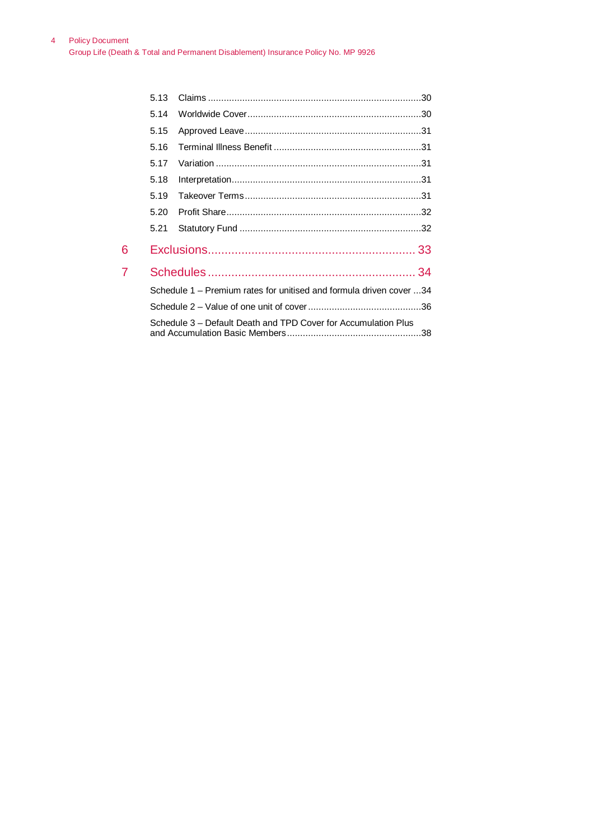|   | 5.13 |                                                                     |
|---|------|---------------------------------------------------------------------|
|   | 5.14 |                                                                     |
|   | 5.15 |                                                                     |
|   | 5.16 |                                                                     |
|   | 5.17 |                                                                     |
|   | 5.18 |                                                                     |
|   | 5.19 |                                                                     |
|   | 5.20 |                                                                     |
|   | 5.21 |                                                                     |
| 6 |      |                                                                     |
| 7 |      |                                                                     |
|   |      | Schedule 1 – Premium rates for unitised and formula driven cover 34 |
|   |      |                                                                     |
|   |      | Schedule 3 - Default Death and TPD Cover for Accumulation Plus      |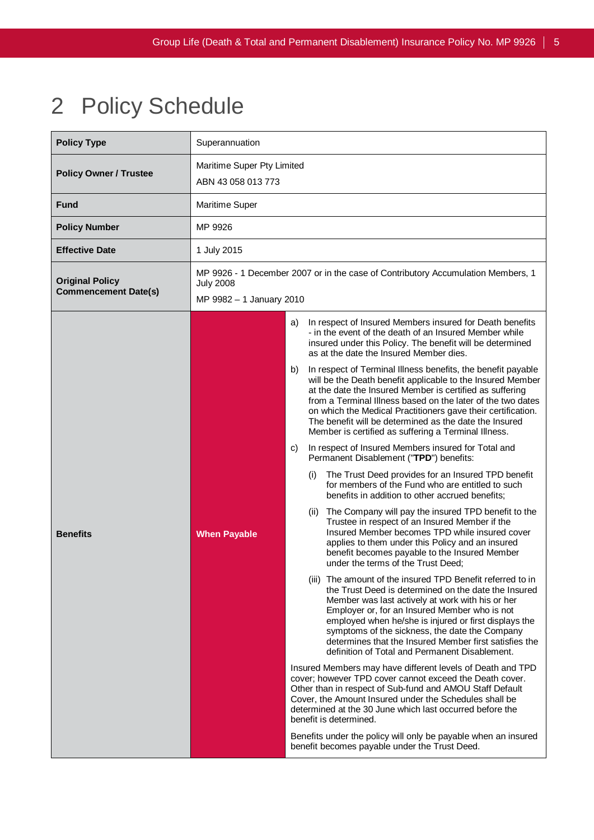## <span id="page-4-0"></span>2 Policy Schedule

| <b>Policy Type</b>                                    | Superannuation                                                                                                                   |                                                                                                                                                                                                                                                                                                                                                                                                                                                                                                                                                                                                                                                                                                                                                                                                                                                                                                                                                                                                                                                                                                                                                                                                                                                                                                                                                                                                                                                                                                                                                                                                                                                                                                                                                                                                                                                                                                                                                                                                                                                                                                                                                                                       |  |  |
|-------------------------------------------------------|----------------------------------------------------------------------------------------------------------------------------------|---------------------------------------------------------------------------------------------------------------------------------------------------------------------------------------------------------------------------------------------------------------------------------------------------------------------------------------------------------------------------------------------------------------------------------------------------------------------------------------------------------------------------------------------------------------------------------------------------------------------------------------------------------------------------------------------------------------------------------------------------------------------------------------------------------------------------------------------------------------------------------------------------------------------------------------------------------------------------------------------------------------------------------------------------------------------------------------------------------------------------------------------------------------------------------------------------------------------------------------------------------------------------------------------------------------------------------------------------------------------------------------------------------------------------------------------------------------------------------------------------------------------------------------------------------------------------------------------------------------------------------------------------------------------------------------------------------------------------------------------------------------------------------------------------------------------------------------------------------------------------------------------------------------------------------------------------------------------------------------------------------------------------------------------------------------------------------------------------------------------------------------------------------------------------------------|--|--|
| <b>Policy Owner / Trustee</b>                         | Maritime Super Pty Limited<br>ABN 43 058 013 773                                                                                 |                                                                                                                                                                                                                                                                                                                                                                                                                                                                                                                                                                                                                                                                                                                                                                                                                                                                                                                                                                                                                                                                                                                                                                                                                                                                                                                                                                                                                                                                                                                                                                                                                                                                                                                                                                                                                                                                                                                                                                                                                                                                                                                                                                                       |  |  |
| Fund                                                  | Maritime Super                                                                                                                   |                                                                                                                                                                                                                                                                                                                                                                                                                                                                                                                                                                                                                                                                                                                                                                                                                                                                                                                                                                                                                                                                                                                                                                                                                                                                                                                                                                                                                                                                                                                                                                                                                                                                                                                                                                                                                                                                                                                                                                                                                                                                                                                                                                                       |  |  |
| <b>Policy Number</b>                                  | MP 9926                                                                                                                          |                                                                                                                                                                                                                                                                                                                                                                                                                                                                                                                                                                                                                                                                                                                                                                                                                                                                                                                                                                                                                                                                                                                                                                                                                                                                                                                                                                                                                                                                                                                                                                                                                                                                                                                                                                                                                                                                                                                                                                                                                                                                                                                                                                                       |  |  |
| <b>Effective Date</b>                                 | 1 July 2015                                                                                                                      |                                                                                                                                                                                                                                                                                                                                                                                                                                                                                                                                                                                                                                                                                                                                                                                                                                                                                                                                                                                                                                                                                                                                                                                                                                                                                                                                                                                                                                                                                                                                                                                                                                                                                                                                                                                                                                                                                                                                                                                                                                                                                                                                                                                       |  |  |
| <b>Original Policy</b><br><b>Commencement Date(s)</b> | MP 9926 - 1 December 2007 or in the case of Contributory Accumulation Members, 1<br><b>July 2008</b><br>MP 9982 - 1 January 2010 |                                                                                                                                                                                                                                                                                                                                                                                                                                                                                                                                                                                                                                                                                                                                                                                                                                                                                                                                                                                                                                                                                                                                                                                                                                                                                                                                                                                                                                                                                                                                                                                                                                                                                                                                                                                                                                                                                                                                                                                                                                                                                                                                                                                       |  |  |
| <b>Benefits</b>                                       | <b>When Payable</b>                                                                                                              | In respect of Insured Members insured for Death benefits<br>a)<br>- in the event of the death of an Insured Member while<br>insured under this Policy. The benefit will be determined<br>as at the date the Insured Member dies.<br>In respect of Terminal Illness benefits, the benefit payable<br>b)<br>will be the Death benefit applicable to the Insured Member<br>at the date the Insured Member is certified as suffering<br>from a Terminal Illness based on the later of the two dates<br>on which the Medical Practitioners gave their certification.<br>The benefit will be determined as the date the Insured<br>Member is certified as suffering a Terminal Illness.<br>In respect of Insured Members insured for Total and<br>C)<br>Permanent Disablement ("TPD") benefits:<br>The Trust Deed provides for an Insured TPD benefit<br>(i)<br>for members of the Fund who are entitled to such<br>benefits in addition to other accrued benefits;<br>The Company will pay the insured TPD benefit to the<br>(ii)<br>Trustee in respect of an Insured Member if the<br>Insured Member becomes TPD while insured cover<br>applies to them under this Policy and an insured<br>benefit becomes payable to the Insured Member<br>under the terms of the Trust Deed;<br>(iii) The amount of the insured TPD Benefit referred to in<br>the Trust Deed is determined on the date the Insured<br>Member was last actively at work with his or her<br>Employer or, for an Insured Member who is not<br>employed when he/she is injured or first displays the<br>symptoms of the sickness, the date the Company<br>determines that the Insured Member first satisfies the<br>definition of Total and Permanent Disablement.<br>Insured Members may have different levels of Death and TPD<br>cover; however TPD cover cannot exceed the Death cover.<br>Other than in respect of Sub-fund and AMOU Staff Default<br>Cover, the Amount Insured under the Schedules shall be<br>determined at the 30 June which last occurred before the<br>benefit is determined.<br>Benefits under the policy will only be payable when an insured<br>benefit becomes payable under the Trust Deed. |  |  |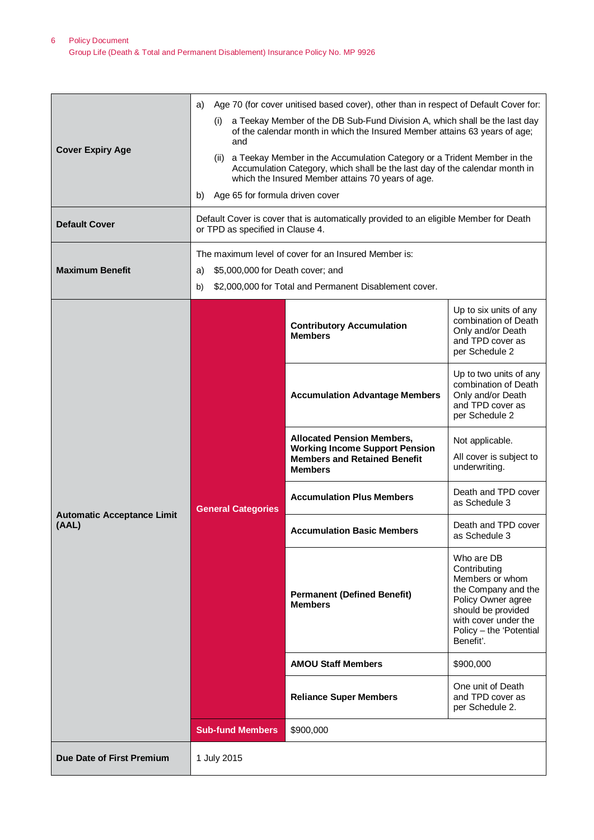|                                   | Age 70 (for cover unitised based cover), other than in respect of Default Cover for:<br>a)                                                                                                                       |                                                                                                                                     |                                                                                                                                                                                  |  |  |  |
|-----------------------------------|------------------------------------------------------------------------------------------------------------------------------------------------------------------------------------------------------------------|-------------------------------------------------------------------------------------------------------------------------------------|----------------------------------------------------------------------------------------------------------------------------------------------------------------------------------|--|--|--|
|                                   | a Teekay Member of the DB Sub-Fund Division A, which shall be the last day<br>(i)<br>of the calendar month in which the Insured Member attains 63 years of age;<br>and                                           |                                                                                                                                     |                                                                                                                                                                                  |  |  |  |
| <b>Cover Expiry Age</b>           | (ii) a Teekay Member in the Accumulation Category or a Trident Member in the<br>Accumulation Category, which shall be the last day of the calendar month in<br>which the Insured Member attains 70 years of age. |                                                                                                                                     |                                                                                                                                                                                  |  |  |  |
|                                   | Age 65 for formula driven cover<br>b)                                                                                                                                                                            |                                                                                                                                     |                                                                                                                                                                                  |  |  |  |
| <b>Default Cover</b>              | Default Cover is cover that is automatically provided to an eligible Member for Death<br>or TPD as specified in Clause 4.                                                                                        |                                                                                                                                     |                                                                                                                                                                                  |  |  |  |
|                                   |                                                                                                                                                                                                                  | The maximum level of cover for an Insured Member is:                                                                                |                                                                                                                                                                                  |  |  |  |
| <b>Maximum Benefit</b>            | \$5,000,000 for Death cover; and<br>a)                                                                                                                                                                           |                                                                                                                                     |                                                                                                                                                                                  |  |  |  |
|                                   | b)                                                                                                                                                                                                               | \$2,000,000 for Total and Permanent Disablement cover.                                                                              |                                                                                                                                                                                  |  |  |  |
|                                   |                                                                                                                                                                                                                  | <b>Contributory Accumulation</b><br><b>Members</b>                                                                                  | Up to six units of any<br>combination of Death<br>Only and/or Death<br>and TPD cover as<br>per Schedule 2                                                                        |  |  |  |
|                                   |                                                                                                                                                                                                                  | <b>Accumulation Advantage Members</b>                                                                                               | Up to two units of any<br>combination of Death<br>Only and/or Death<br>and TPD cover as<br>per Schedule 2                                                                        |  |  |  |
|                                   |                                                                                                                                                                                                                  | <b>Allocated Pension Members,</b><br><b>Working Income Support Pension</b><br><b>Members and Retained Benefit</b><br><b>Members</b> | Not applicable.<br>All cover is subject to<br>underwriting.                                                                                                                      |  |  |  |
| <b>Automatic Acceptance Limit</b> | <b>General Categories</b>                                                                                                                                                                                        | <b>Accumulation Plus Members</b>                                                                                                    | Death and TPD cover<br>as Schedule 3                                                                                                                                             |  |  |  |
| (AAL)                             |                                                                                                                                                                                                                  | <b>Accumulation Basic Members</b>                                                                                                   | Death and TPD cover<br>as Schedule 3                                                                                                                                             |  |  |  |
|                                   |                                                                                                                                                                                                                  | <b>Permanent (Defined Benefit)</b><br><b>Members</b>                                                                                | Who are DB<br>Contributing<br>Members or whom<br>the Company and the<br>Policy Owner agree<br>should be provided<br>with cover under the<br>Policy - the 'Potential<br>Benefit'. |  |  |  |
|                                   |                                                                                                                                                                                                                  | <b>AMOU Staff Members</b>                                                                                                           | \$900,000                                                                                                                                                                        |  |  |  |
|                                   |                                                                                                                                                                                                                  | <b>Reliance Super Members</b>                                                                                                       | One unit of Death<br>and TPD cover as<br>per Schedule 2.                                                                                                                         |  |  |  |
|                                   | <b>Sub-fund Members</b>                                                                                                                                                                                          | \$900,000                                                                                                                           |                                                                                                                                                                                  |  |  |  |
| Due Date of First Premium         | 1 July 2015                                                                                                                                                                                                      |                                                                                                                                     |                                                                                                                                                                                  |  |  |  |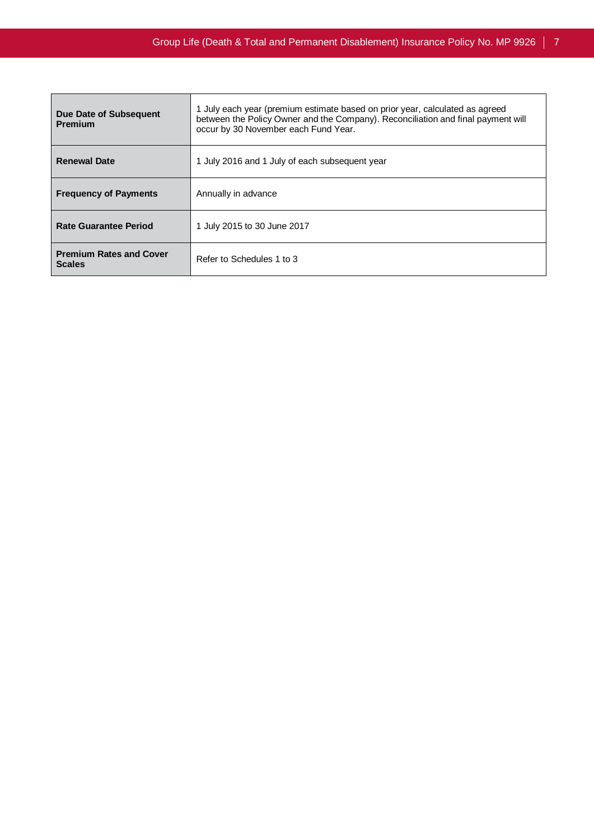| Due Date of Subsequent<br>Premium               | 1 July each year (premium estimate based on prior year, calculated as agreed<br>between the Policy Owner and the Company). Reconciliation and final payment will<br>occur by 30 November each Fund Year. |
|-------------------------------------------------|----------------------------------------------------------------------------------------------------------------------------------------------------------------------------------------------------------|
| <b>Renewal Date</b>                             | 1 July 2016 and 1 July of each subsequent year                                                                                                                                                           |
| <b>Frequency of Payments</b>                    | Annually in advance                                                                                                                                                                                      |
| Rate Guarantee Period                           | 1 July 2015 to 30 June 2017                                                                                                                                                                              |
| <b>Premium Rates and Cover</b><br><b>Scales</b> | Refer to Schedules 1 to 3                                                                                                                                                                                |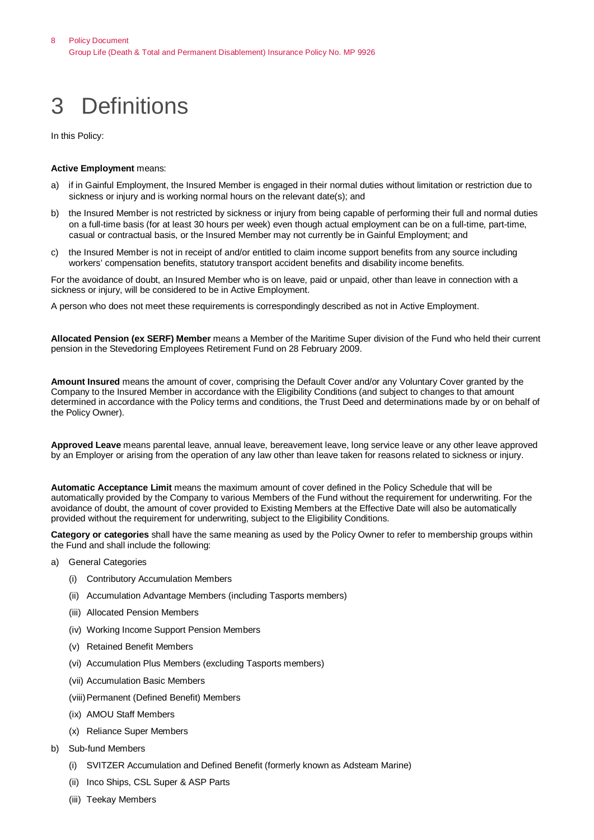## <span id="page-7-0"></span>3 Definitions

In this Policy:

#### **Active Employment** means:

- a) if in Gainful Employment, the Insured Member is engaged in their normal duties without limitation or restriction due to sickness or injury and is working normal hours on the relevant date(s); and
- b) the Insured Member is not restricted by sickness or injury from being capable of performing their full and normal duties on a full-time basis (for at least 30 hours per week) even though actual employment can be on a full-time, part-time, casual or contractual basis, or the Insured Member may not currently be in Gainful Employment; and
- c) the Insured Member is not in receipt of and/or entitled to claim income support benefits from any source including workers' compensation benefits, statutory transport accident benefits and disability income benefits.

For the avoidance of doubt, an Insured Member who is on leave, paid or unpaid, other than leave in connection with a sickness or injury, will be considered to be in Active Employment.

A person who does not meet these requirements is correspondingly described as not in Active Employment.

**Allocated Pension (ex SERF) Member** means a Member of the Maritime Super division of the Fund who held their current pension in the Stevedoring Employees Retirement Fund on 28 February 2009.

**Amount Insured** means the amount of cover, comprising the Default Cover and/or any Voluntary Cover granted by the Company to the Insured Member in accordance with the Eligibility Conditions (and subject to changes to that amount determined in accordance with the Policy terms and conditions, the Trust Deed and determinations made by or on behalf of the Policy Owner).

**Approved Leave** means parental leave, annual leave, bereavement leave, long service leave or any other leave approved by an Employer or arising from the operation of any law other than leave taken for reasons related to sickness or injury.

**Automatic Acceptance Limit** means the maximum amount of cover defined in the Policy Schedule that will be automatically provided by the Company to various Members of the Fund without the requirement for underwriting. For the avoidance of doubt, the amount of cover provided to Existing Members at the Effective Date will also be automatically provided without the requirement for underwriting, subject to the Eligibility Conditions.

**Category or categories** shall have the same meaning as used by the Policy Owner to refer to membership groups within the Fund and shall include the following:

- a) General Categories
	- (i) Contributory Accumulation Members
	- (ii) Accumulation Advantage Members (including Tasports members)
	- (iii) Allocated Pension Members
	- (iv) Working Income Support Pension Members
	- (v) Retained Benefit Members
	- (vi) Accumulation Plus Members (excluding Tasports members)
	- (vii) Accumulation Basic Members
	- (viii)Permanent (Defined Benefit) Members
	- (ix) AMOU Staff Members
	- (x) Reliance Super Members
- b) Sub-fund Members
	- (i) SVITZER Accumulation and Defined Benefit (formerly known as Adsteam Marine)
	- (ii) Inco Ships, CSL Super & ASP Parts
	- (iii) Teekay Members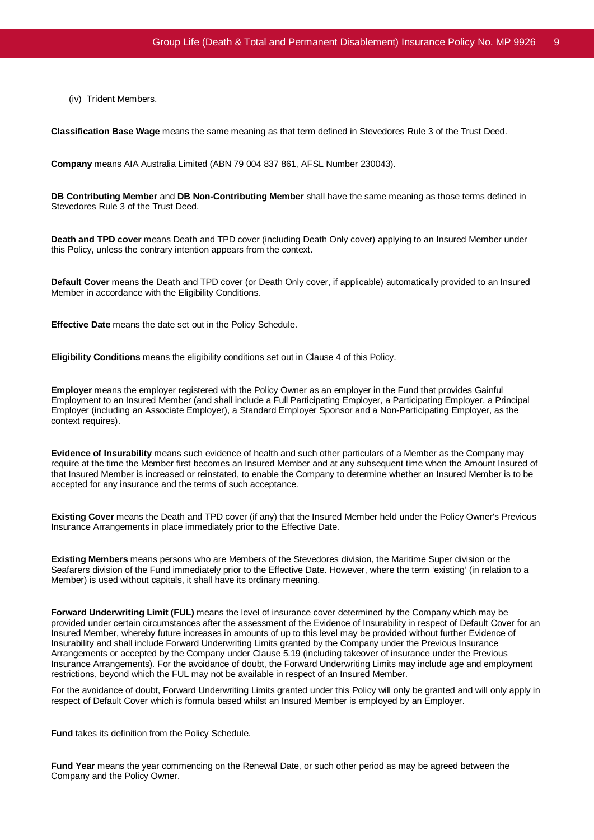(iv) Trident Members.

**Classification Base Wage** means the same meaning as that term defined in Stevedores Rule 3 of the Trust Deed.

**Company** means AIA Australia Limited (ABN 79 004 837 861, AFSL Number 230043).

**DB Contributing Member** and **DB Non-Contributing Member** shall have the same meaning as those terms defined in Stevedores Rule 3 of the Trust Deed.

**Death and TPD cover** means Death and TPD cover (including Death Only cover) applying to an Insured Member under this Policy, unless the contrary intention appears from the context.

**Default Cover** means the Death and TPD cover (or Death Only cover, if applicable) automatically provided to an Insured Member in accordance with the Eligibility Conditions.

**Effective Date** means the date set out in the Policy Schedule.

**Eligibility Conditions** means the eligibility conditions set out in Clause 4 of this Policy.

**Employer** means the employer registered with the Policy Owner as an employer in the Fund that provides Gainful Employment to an Insured Member (and shall include a Full Participating Employer, a Participating Employer, a Principal Employer (including an Associate Employer), a Standard Employer Sponsor and a Non-Participating Employer, as the context requires).

**Evidence of Insurability** means such evidence of health and such other particulars of a Member as the Company may require at the time the Member first becomes an Insured Member and at any subsequent time when the Amount Insured of that Insured Member is increased or reinstated, to enable the Company to determine whether an Insured Member is to be accepted for any insurance and the terms of such acceptance.

**Existing Cover** means the Death and TPD cover (if any) that the Insured Member held under the Policy Owner's Previous Insurance Arrangements in place immediately prior to the Effective Date.

**Existing Members** means persons who are Members of the Stevedores division, the Maritime Super division or the Seafarers division of the Fund immediately prior to the Effective Date. However, where the term 'existing' (in relation to a Member) is used without capitals, it shall have its ordinary meaning.

**Forward Underwriting Limit (FUL)** means the level of insurance cover determined by the Company which may be provided under certain circumstances after the assessment of the Evidence of Insurability in respect of Default Cover for an Insured Member, whereby future increases in amounts of up to this level may be provided without further Evidence of Insurability and shall include Forward Underwriting Limits granted by the Company under the Previous Insurance Arrangements or accepted by the Company under Clause 5.19 (including takeover of insurance under the Previous Insurance Arrangements). For the avoidance of doubt, the Forward Underwriting Limits may include age and employment restrictions, beyond which the FUL may not be available in respect of an Insured Member.

For the avoidance of doubt, Forward Underwriting Limits granted under this Policy will only be granted and will only apply in respect of Default Cover which is formula based whilst an Insured Member is employed by an Employer.

**Fund** takes its definition from the Policy Schedule.

**Fund Year** means the year commencing on the Renewal Date, or such other period as may be agreed between the Company and the Policy Owner.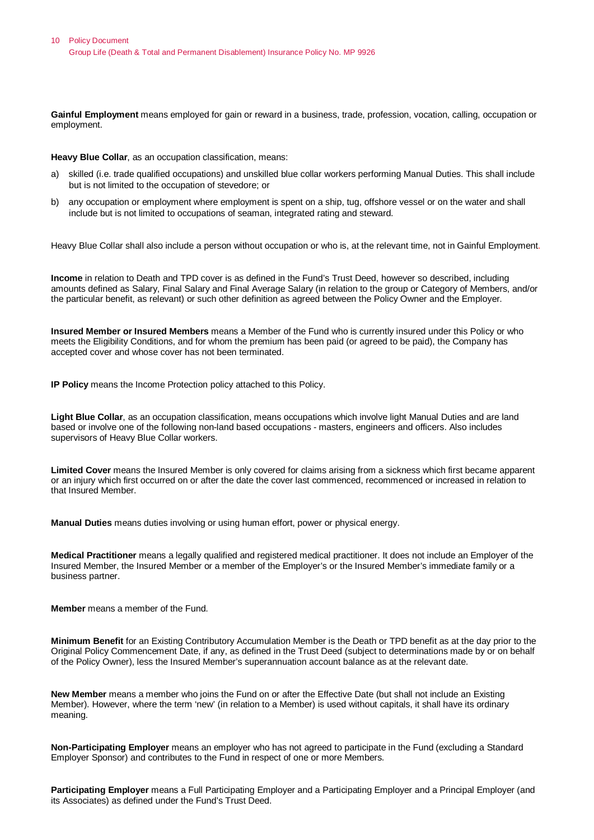**Gainful Employment** means employed for gain or reward in a business, trade, profession, vocation, calling, occupation or employment.

**Heavy Blue Collar**, as an occupation classification, means:

- a) skilled (i.e. trade qualified occupations) and unskilled blue collar workers performing Manual Duties. This shall include but is not limited to the occupation of stevedore; or
- b) any occupation or employment where employment is spent on a ship, tug, offshore vessel or on the water and shall include but is not limited to occupations of seaman, integrated rating and steward.

Heavy Blue Collar shall also include a person without occupation or who is, at the relevant time, not in Gainful Employment.

**Income** in relation to Death and TPD cover is as defined in the Fund's Trust Deed, however so described, including amounts defined as Salary, Final Salary and Final Average Salary (in relation to the group or Category of Members, and/or the particular benefit, as relevant) or such other definition as agreed between the Policy Owner and the Employer.

**Insured Member or Insured Members** means a Member of the Fund who is currently insured under this Policy or who meets the Eligibility Conditions, and for whom the premium has been paid (or agreed to be paid), the Company has accepted cover and whose cover has not been terminated.

**IP Policy** means the Income Protection policy attached to this Policy.

**Light Blue Collar**, as an occupation classification, means occupations which involve light Manual Duties and are land based or involve one of the following non-land based occupations - masters, engineers and officers. Also includes supervisors of Heavy Blue Collar workers.

**Limited Cover** means the Insured Member is only covered for claims arising from a sickness which first became apparent or an injury which first occurred on or after the date the cover last commenced, recommenced or increased in relation to that Insured Member.

**Manual Duties** means duties involving or using human effort, power or physical energy.

**Medical Practitioner** means a legally qualified and registered medical practitioner. It does not include an Employer of the Insured Member, the Insured Member or a member of the Employer's or the Insured Member's immediate family or a business partner.

**Member** means a member of the Fund.

**Minimum Benefit** for an Existing Contributory Accumulation Member is the Death or TPD benefit as at the day prior to the Original Policy Commencement Date, if any, as defined in the Trust Deed (subject to determinations made by or on behalf of the Policy Owner), less the Insured Member's superannuation account balance as at the relevant date.

**New Member** means a member who joins the Fund on or after the Effective Date (but shall not include an Existing Member). However, where the term 'new' (in relation to a Member) is used without capitals, it shall have its ordinary meaning.

**Non-Participating Employer** means an employer who has not agreed to participate in the Fund (excluding a Standard Employer Sponsor) and contributes to the Fund in respect of one or more Members.

**Participating Employer** means a Full Participating Employer and a Participating Employer and a Principal Employer (and its Associates) as defined under the Fund's Trust Deed.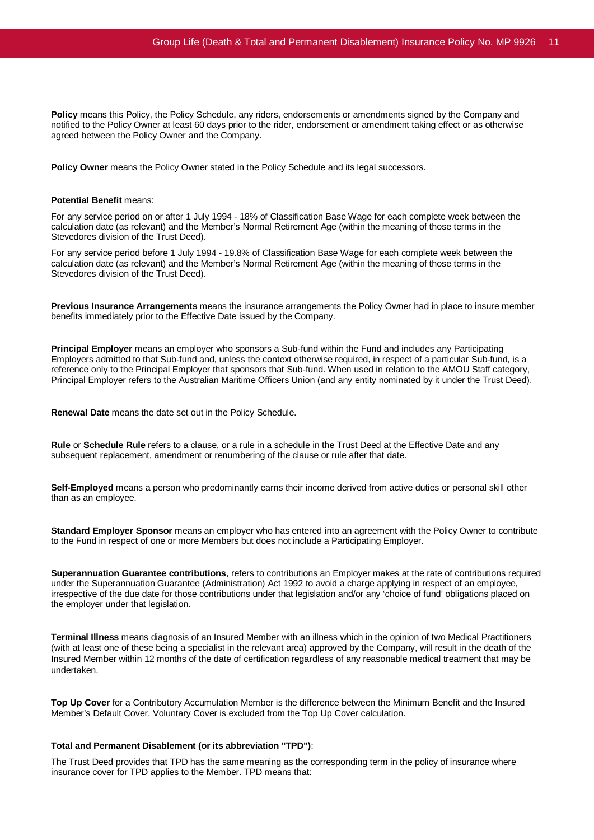**Policy** means this Policy, the Policy Schedule, any riders, endorsements or amendments signed by the Company and notified to the Policy Owner at least 60 days prior to the rider, endorsement or amendment taking effect or as otherwise agreed between the Policy Owner and the Company.

**Policy Owner** means the Policy Owner stated in the Policy Schedule and its legal successors.

#### **Potential Benefit** means:

For any service period on or after 1 July 1994 - 18% of Classification Base Wage for each complete week between the calculation date (as relevant) and the Member's Normal Retirement Age (within the meaning of those terms in the Stevedores division of the Trust Deed).

For any service period before 1 July 1994 - 19.8% of Classification Base Wage for each complete week between the calculation date (as relevant) and the Member's Normal Retirement Age (within the meaning of those terms in the Stevedores division of the Trust Deed).

**Previous Insurance Arrangements** means the insurance arrangements the Policy Owner had in place to insure member benefits immediately prior to the Effective Date issued by the Company.

**Principal Employer** means an employer who sponsors a Sub-fund within the Fund and includes any Participating Employers admitted to that Sub-fund and, unless the context otherwise required, in respect of a particular Sub-fund, is a reference only to the Principal Employer that sponsors that Sub-fund. When used in relation to the AMOU Staff category, Principal Employer refers to the Australian Maritime Officers Union (and any entity nominated by it under the Trust Deed).

**Renewal Date** means the date set out in the Policy Schedule.

**Rule** or **Schedule Rule** refers to a clause, or a rule in a schedule in the Trust Deed at the Effective Date and any subsequent replacement, amendment or renumbering of the clause or rule after that date.

**Self-Employed** means a person who predominantly earns their income derived from active duties or personal skill other than as an employee.

**Standard Employer Sponsor** means an employer who has entered into an agreement with the Policy Owner to contribute to the Fund in respect of one or more Members but does not include a Participating Employer.

**Superannuation Guarantee contributions**, refers to contributions an Employer makes at the rate of contributions required under the Superannuation Guarantee (Administration) Act 1992 to avoid a charge applying in respect of an employee, irrespective of the due date for those contributions under that legislation and/or any 'choice of fund' obligations placed on the employer under that legislation.

**Terminal Illness** means diagnosis of an Insured Member with an illness which in the opinion of two Medical Practitioners (with at least one of these being a specialist in the relevant area) approved by the Company, will result in the death of the Insured Member within 12 months of the date of certification regardless of any reasonable medical treatment that may be undertaken.

**Top Up Cover** for a Contributory Accumulation Member is the difference between the Minimum Benefit and the Insured Member's Default Cover. Voluntary Cover is excluded from the Top Up Cover calculation.

#### **Total and Permanent Disablement (or its abbreviation "TPD")**:

The Trust Deed provides that TPD has the same meaning as the corresponding term in the policy of insurance where insurance cover for TPD applies to the Member. TPD means that: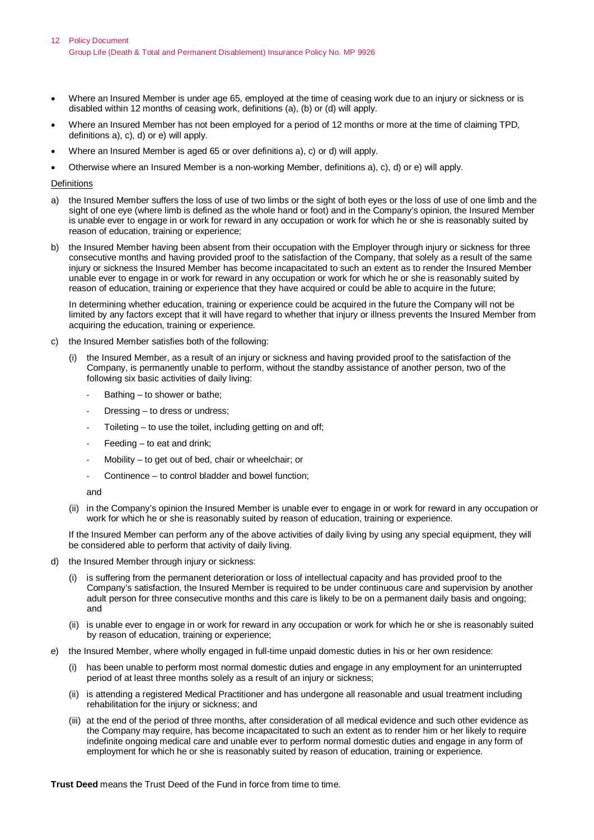#### 12 Policy Document Group Life (Death & Total and Permanent Disablement) Insurance Policy No. MP 9926

- Where an Insured Member is under age 65, employed at the time of ceasing work due to an injury or sickness or is disabled within 12 months of ceasing work, definitions (a), (b) or (d) will apply.
- Where an Insured Member has not been employed for a period of 12 months or more at the time of claiming TPD, definitions a), c), d) or e) will apply.
- Where an Insured Member is aged 65 or over definitions a), c) or d) will apply.
- Otherwise where an Insured Member is a non-working Member, definitions a), c), d) or e) will apply.

#### **Definitions**

- a) the Insured Member suffers the loss of use of two limbs or the sight of both eyes or the loss of use of one limb and the sight of one eye (where limb is defined as the whole hand or foot) and in the Company's opinion, the Insured Member is unable ever to engage in or work for reward in any occupation or work for which he or she is reasonably suited by reason of education, training or experience;
- b) the Insured Member having been absent from their occupation with the Employer through injury or sickness for three consecutive months and having provided proof to the satisfaction of the Company, that solely as a result of the same injury or sickness the Insured Member has become incapacitated to such an extent as to render the Insured Member unable ever to engage in or work for reward in any occupation or work for which he or she is reasonably suited by reason of education, training or experience that they have acquired or could be able to acquire in the future;

In determining whether education, training or experience could be acquired in the future the Company will not be limited by any factors except that it will have regard to whether that injury or illness prevents the Insured Member from acquiring the education, training or experience.

- c) the Insured Member satisfies both of the following:
	- the Insured Member, as a result of an injury or sickness and having provided proof to the satisfaction of the Company, is permanently unable to perform, without the standby assistance of another person, two of the following six basic activities of daily living:
		- Bathing  $-$  to shower or bathe;
		- $D$ ressing  $-$  to dress or undress;
		- Toileting  $-$  to use the toilet, including getting on and off;
		- $Fe$ eding  $-$  to eat and drink;
		- Mobility to get out of bed, chair or wheelchair; or
		- Continence to control bladder and bowel function:

and

(ii) in the Company's opinion the Insured Member is unable ever to engage in or work for reward in any occupation or work for which he or she is reasonably suited by reason of education, training or experience.

If the Insured Member can perform any of the above activities of daily living by using any special equipment, they will be considered able to perform that activity of daily living.

- d) the Insured Member through injury or sickness:
	- is suffering from the permanent deterioration or loss of intellectual capacity and has provided proof to the Company's satisfaction, the Insured Member is required to be under continuous care and supervision by another adult person for three consecutive months and this care is likely to be on a permanent daily basis and ongoing; and
	- (ii) is unable ever to engage in or work for reward in any occupation or work for which he or she is reasonably suited by reason of education, training or experience;
- e) the Insured Member, where wholly engaged in full-time unpaid domestic duties in his or her own residence:
	- (i) has been unable to perform most normal domestic duties and engage in any employment for an uninterrupted period of at least three months solely as a result of an injury or sickness;
	- (ii) is attending a registered Medical Practitioner and has undergone all reasonable and usual treatment including rehabilitation for the injury or sickness; and
	- (iii) at the end of the period of three months, after consideration of all medical evidence and such other evidence as the Company may require, has become incapacitated to such an extent as to render him or her likely to require indefinite ongoing medical care and unable ever to perform normal domestic duties and engage in any form of employment for which he or she is reasonably suited by reason of education, training or experience.

**Trust Deed** means the Trust Deed of the Fund in force from time to time.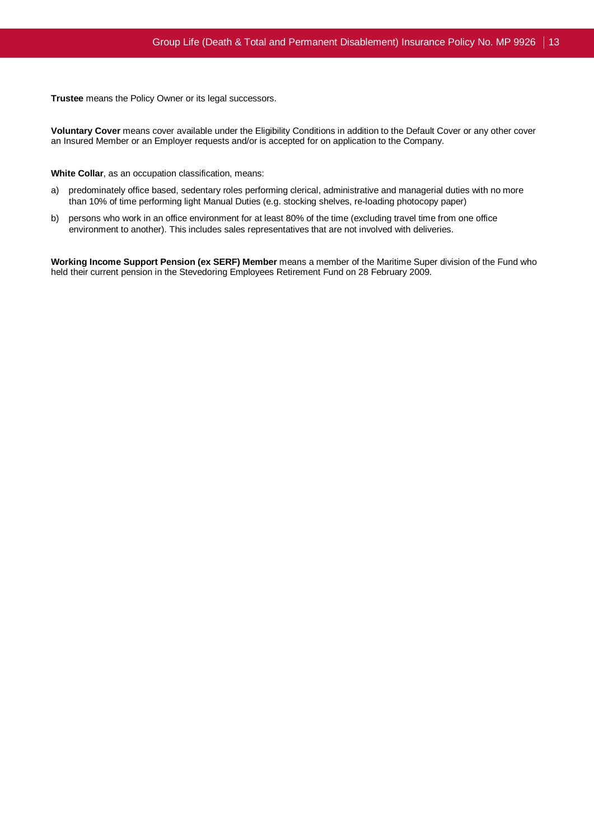**Trustee** means the Policy Owner or its legal successors.

**Voluntary Cover** means cover available under the Eligibility Conditions in addition to the Default Cover or any other cover an Insured Member or an Employer requests and/or is accepted for on application to the Company.

**White Collar**, as an occupation classification, means:

- a) predominately office based, sedentary roles performing clerical, administrative and managerial duties with no more than 10% of time performing light Manual Duties (e.g. stocking shelves, re-loading photocopy paper)
- b) persons who work in an office environment for at least 80% of the time (excluding travel time from one office environment to another). This includes sales representatives that are not involved with deliveries.

**Working Income Support Pension (ex SERF) Member** means a member of the Maritime Super division of the Fund who held their current pension in the Stevedoring Employees Retirement Fund on 28 February 2009.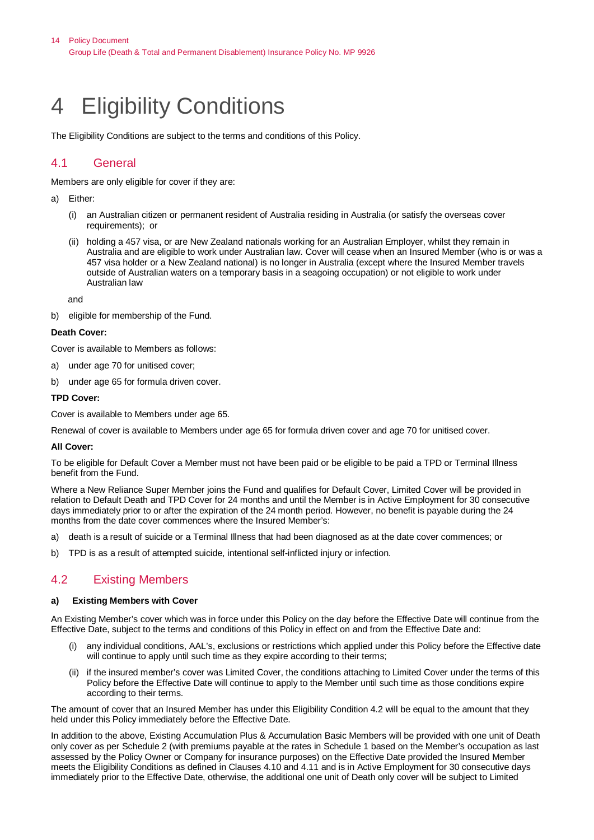## <span id="page-13-0"></span>4 Eligibility Conditions

The Eligibility Conditions are subject to the terms and conditions of this Policy.

## <span id="page-13-1"></span>4.1 General

Members are only eligible for cover if they are:

- a) Either:
	- (i) an Australian citizen or permanent resident of Australia residing in Australia (or satisfy the overseas cover requirements); or
	- (ii) holding a 457 visa, or are New Zealand nationals working for an Australian Employer, whilst they remain in Australia and are eligible to work under Australian law. Cover will cease when an Insured Member (who is or was a 457 visa holder or a New Zealand national) is no longer in Australia (except where the Insured Member travels outside of Australian waters on a temporary basis in a seagoing occupation) or not eligible to work under Australian law

and

b) eligible for membership of the Fund.

#### **Death Cover:**

Cover is available to Members as follows:

- a) under age 70 for unitised cover;
- b) under age 65 for formula driven cover.

#### **TPD Cover:**

Cover is available to Members under age 65.

Renewal of cover is available to Members under age 65 for formula driven cover and age 70 for unitised cover.

#### **All Cover:**

To be eligible for Default Cover a Member must not have been paid or be eligible to be paid a TPD or Terminal Illness benefit from the Fund.

Where a New Reliance Super Member joins the Fund and qualifies for Default Cover, Limited Cover will be provided in relation to Default Death and TPD Cover for 24 months and until the Member is in Active Employment for 30 consecutive days immediately prior to or after the expiration of the 24 month period. However, no benefit is payable during the 24 months from the date cover commences where the Insured Member's:

- a) death is a result of suicide or a Terminal Illness that had been diagnosed as at the date cover commences; or
- b) TPD is as a result of attempted suicide, intentional self-inflicted injury or infection.

### <span id="page-13-2"></span>4.2 Existing Members

#### **a) Existing Members with Cover**

An Existing Member's cover which was in force under this Policy on the day before the Effective Date will continue from the Effective Date, subject to the terms and conditions of this Policy in effect on and from the Effective Date and:

- any individual conditions, AAL's, exclusions or restrictions which applied under this Policy before the Effective date will continue to apply until such time as they expire according to their terms;
- (ii) if the insured member's cover was Limited Cover, the conditions attaching to Limited Cover under the terms of this Policy before the Effective Date will continue to apply to the Member until such time as those conditions expire according to their terms.

The amount of cover that an Insured Member has under this Eligibility Condition 4.2 will be equal to the amount that they held under this Policy immediately before the Effective Date.

In addition to the above, Existing Accumulation Plus & Accumulation Basic Members will be provided with one unit of Death only cover as per Schedule 2 (with premiums payable at the rates in Schedule 1 based on the Member's occupation as last assessed by the Policy Owner or Company for insurance purposes) on the Effective Date provided the Insured Member meets the Eligibility Conditions as defined in Clauses 4.10 and 4.11 and is in Active Employment for 30 consecutive days immediately prior to the Effective Date, otherwise, the additional one unit of Death only cover will be subject to Limited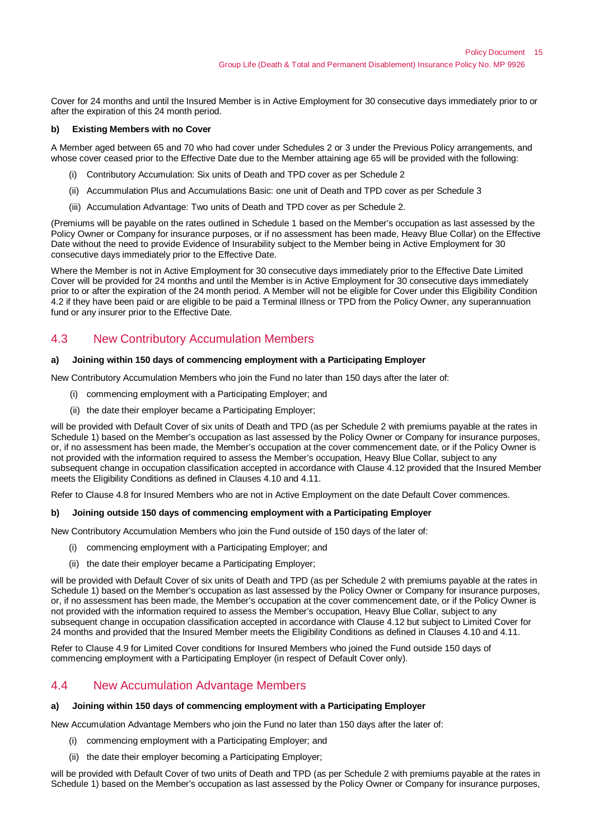Cover for 24 months and until the Insured Member is in Active Employment for 30 consecutive days immediately prior to or after the expiration of this 24 month period.

#### **b) Existing Members with no Cover**

A Member aged between 65 and 70 who had cover under Schedules 2 or 3 under the Previous Policy arrangements, and whose cover ceased prior to the Effective Date due to the Member attaining age 65 will be provided with the following:

- (i) Contributory Accumulation: Six units of Death and TPD cover as per Schedule 2
- (ii) Accummulation Plus and Accumulations Basic: one unit of Death and TPD cover as per Schedule 3
- (iii) Accumulation Advantage: Two units of Death and TPD cover as per Schedule 2.

(Premiums will be payable on the rates outlined in Schedule 1 based on the Member's occupation as last assessed by the Policy Owner or Company for insurance purposes, or if no assessment has been made, Heavy Blue Collar) on the Effective Date without the need to provide Evidence of Insurability subject to the Member being in Active Employment for 30 consecutive days immediately prior to the Effective Date.

Where the Member is not in Active Employment for 30 consecutive days immediately prior to the Effective Date Limited Cover will be provided for 24 months and until the Member is in Active Employment for 30 consecutive days immediately prior to or after the expiration of the 24 month period. A Member will not be eligible for Cover under this Eligibility Condition 4.2 if they have been paid or are eligible to be paid a Terminal Illness or TPD from the Policy Owner, any superannuation fund or any insurer prior to the Effective Date.

## <span id="page-14-0"></span>4.3 New Contributory Accumulation Members

#### **a) Joining within 150 days of commencing employment with a Participating Employer**

New Contributory Accumulation Members who join the Fund no later than 150 days after the later of:

- (i) commencing employment with a Participating Employer; and
- (ii) the date their employer became a Participating Employer;

will be provided with Default Cover of six units of Death and TPD (as per Schedule 2 with premiums payable at the rates in Schedule 1) based on the Member's occupation as last assessed by the Policy Owner or Company for insurance purposes, or, if no assessment has been made, the Member's occupation at the cover commencement date, or if the Policy Owner is not provided with the information required to assess the Member's occupation, Heavy Blue Collar, subject to any subsequent change in occupation classification accepted in accordance with Clause 4.12 provided that the Insured Member meets the Eligibility Conditions as defined in Clauses 4.10 and 4.11.

Refer to Clause 4.8 for Insured Members who are not in Active Employment on the date Default Cover commences.

#### **b) Joining outside 150 days of commencing employment with a Participating Employer**

New Contributory Accumulation Members who join the Fund outside of 150 days of the later of:

- (i) commencing employment with a Participating Employer; and
- (ii) the date their employer became a Participating Employer;

will be provided with Default Cover of six units of Death and TPD (as per Schedule 2 with premiums payable at the rates in Schedule 1) based on the Member's occupation as last assessed by the Policy Owner or Company for insurance purposes, or, if no assessment has been made, the Member's occupation at the cover commencement date, or if the Policy Owner is not provided with the information required to assess the Member's occupation, Heavy Blue Collar, subject to any subsequent change in occupation classification accepted in accordance with Clause 4.12 but subject to Limited Cover for 24 months and provided that the Insured Member meets the Eligibility Conditions as defined in Clauses 4.10 and 4.11.

Refer to Clause 4.9 for Limited Cover conditions for Insured Members who joined the Fund outside 150 days of commencing employment with a Participating Employer (in respect of Default Cover only).

#### <span id="page-14-1"></span>4.4 New Accumulation Advantage Members

#### **a) Joining within 150 days of commencing employment with a Participating Employer**

New Accumulation Advantage Members who join the Fund no later than 150 days after the later of:

- (i) commencing employment with a Participating Employer; and
- (ii) the date their employer becoming a Participating Employer;

will be provided with Default Cover of two units of Death and TPD (as per Schedule 2 with premiums payable at the rates in Schedule 1) based on the Member's occupation as last assessed by the Policy Owner or Company for insurance purposes,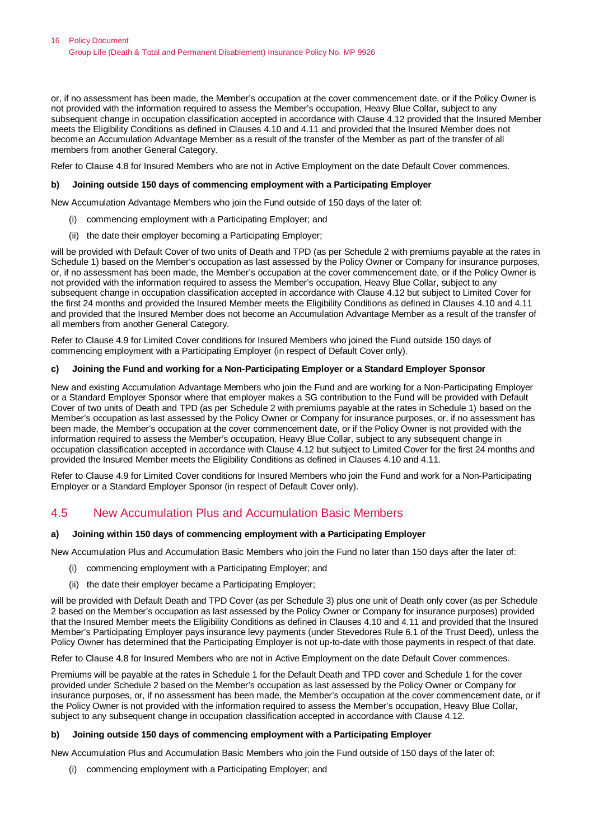or, if no assessment has been made, the Member's occupation at the cover commencement date, or if the Policy Owner is not provided with the information required to assess the Member's occupation, Heavy Blue Collar, subject to any subsequent change in occupation classification accepted in accordance with Clause 4.12 provided that the Insured Member meets the Eligibility Conditions as defined in Clauses 4.10 and 4.11 and provided that the Insured Member does not become an Accumulation Advantage Member as a result of the transfer of the Member as part of the transfer of all members from another General Category.

Refer to Clause 4.8 for Insured Members who are not in Active Employment on the date Default Cover commences.

#### **b) Joining outside 150 days of commencing employment with a Participating Employer**

New Accumulation Advantage Members who join the Fund outside of 150 days of the later of:

- (i) commencing employment with a Participating Employer; and
- (ii) the date their employer becoming a Participating Employer;

will be provided with Default Cover of two units of Death and TPD (as per Schedule 2 with premiums payable at the rates in Schedule 1) based on the Member's occupation as last assessed by the Policy Owner or Company for insurance purposes, or, if no assessment has been made, the Member's occupation at the cover commencement date, or if the Policy Owner is not provided with the information required to assess the Member's occupation, Heavy Blue Collar, subject to any subsequent change in occupation classification accepted in accordance with Clause 4.12 but subject to Limited Cover for the first 24 months and provided the Insured Member meets the Eligibility Conditions as defined in Clauses 4.10 and 4.11 and provided that the Insured Member does not become an Accumulation Advantage Member as a result of the transfer of all members from another General Category.

Refer to Clause 4.9 for Limited Cover conditions for Insured Members who joined the Fund outside 150 days of commencing employment with a Participating Employer (in respect of Default Cover only).

#### **c) Joining the Fund and working for a Non-Participating Employer or a Standard Employer Sponsor**

New and existing Accumulation Advantage Members who join the Fund and are working for a Non-Participating Employer or a Standard Employer Sponsor where that employer makes a SG contribution to the Fund will be provided with Default Cover of two units of Death and TPD (as per Schedule 2 with premiums payable at the rates in Schedule 1) based on the Member's occupation as last assessed by the Policy Owner or Company for insurance purposes, or, if no assessment has been made, the Member's occupation at the cover commencement date, or if the Policy Owner is not provided with the information required to assess the Member's occupation, Heavy Blue Collar, subject to any subsequent change in occupation classification accepted in accordance with Clause 4.12 but subject to Limited Cover for the first 24 months and provided the Insured Member meets the Eligibility Conditions as defined in Clauses 4.10 and 4.11.

Refer to Clause 4.9 for Limited Cover conditions for Insured Members who join the Fund and work for a Non-Participating Employer or a Standard Employer Sponsor (in respect of Default Cover only).

### <span id="page-15-0"></span>4.5 New Accumulation Plus and Accumulation Basic Members

#### **a) Joining within 150 days of commencing employment with a Participating Employer**

New Accumulation Plus and Accumulation Basic Members who join the Fund no later than 150 days after the later of:

- (i) commencing employment with a Participating Employer; and
- (ii) the date their employer became a Participating Employer;

will be provided with Default Death and TPD Cover (as per Schedule 3) plus one unit of Death only cover (as per Schedule 2 based on the Member's occupation as last assessed by the Policy Owner or Company for insurance purposes) provided that the Insured Member meets the Eligibility Conditions as defined in Clauses 4.10 and 4.11 and provided that the Insured Member's Participating Employer pays insurance levy payments (under Stevedores Rule 6.1 of the Trust Deed), unless the Policy Owner has determined that the Participating Employer is not up-to-date with those payments in respect of that date.

Refer to Clause 4.8 for Insured Members who are not in Active Employment on the date Default Cover commences.

Premiums will be payable at the rates in Schedule 1 for the Default Death and TPD cover and Schedule 1 for the cover provided under Schedule 2 based on the Member's occupation as last assessed by the Policy Owner or Company for insurance purposes, or, if no assessment has been made, the Member's occupation at the cover commencement date, or if the Policy Owner is not provided with the information required to assess the Member's occupation, Heavy Blue Collar, subject to any subsequent change in occupation classification accepted in accordance with Clause 4.12.

#### **b) Joining outside 150 days of commencing employment with a Participating Employer**

New Accumulation Plus and Accumulation Basic Members who join the Fund outside of 150 days of the later of:

(i) commencing employment with a Participating Employer; and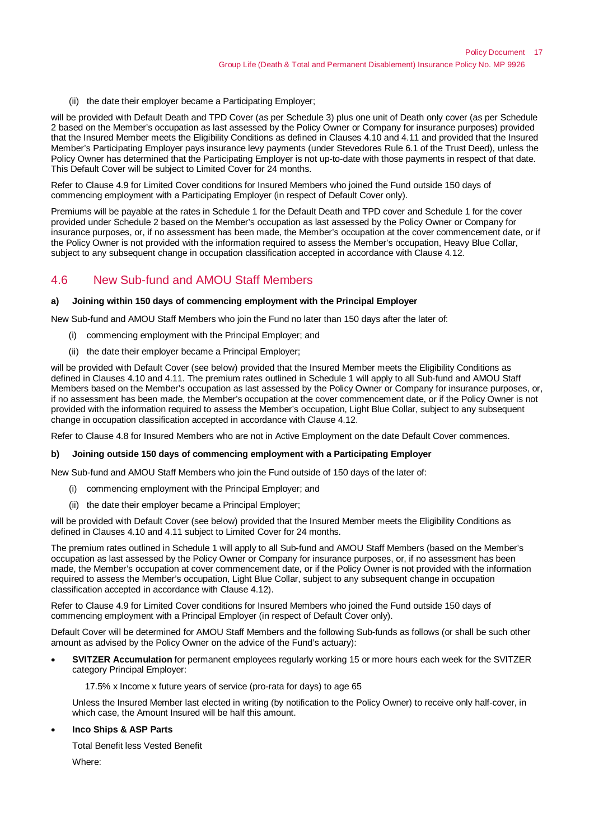(ii) the date their employer became a Participating Employer;

will be provided with Default Death and TPD Cover (as per Schedule 3) plus one unit of Death only cover (as per Schedule 2 based on the Member's occupation as last assessed by the Policy Owner or Company for insurance purposes) provided that the Insured Member meets the Eligibility Conditions as defined in Clauses 4.10 and 4.11 and provided that the Insured Member's Participating Employer pays insurance levy payments (under Stevedores Rule 6.1 of the Trust Deed), unless the Policy Owner has determined that the Participating Employer is not up-to-date with those payments in respect of that date. This Default Cover will be subject to Limited Cover for 24 months.

Refer to Clause 4.9 for Limited Cover conditions for Insured Members who joined the Fund outside 150 days of commencing employment with a Participating Employer (in respect of Default Cover only).

Premiums will be payable at the rates in Schedule 1 for the Default Death and TPD cover and Schedule 1 for the cover provided under Schedule 2 based on the Member's occupation as last assessed by the Policy Owner or Company for insurance purposes, or, if no assessment has been made, the Member's occupation at the cover commencement date, or if the Policy Owner is not provided with the information required to assess the Member's occupation, Heavy Blue Collar, subject to any subsequent change in occupation classification accepted in accordance with Clause 4.12.

#### <span id="page-16-0"></span>4.6 New Sub-fund and AMOU Staff Members

#### **a) Joining within 150 days of commencing employment with the Principal Employer**

New Sub-fund and AMOU Staff Members who join the Fund no later than 150 days after the later of:

- (i) commencing employment with the Principal Employer; and
- (ii) the date their employer became a Principal Employer;

will be provided with Default Cover (see below) provided that the Insured Member meets the Eligibility Conditions as defined in Clauses 4.10 and 4.11. The premium rates outlined in Schedule 1 will apply to all Sub-fund and AMOU Staff Members based on the Member's occupation as last assessed by the Policy Owner or Company for insurance purposes, or, if no assessment has been made, the Member's occupation at the cover commencement date, or if the Policy Owner is not provided with the information required to assess the Member's occupation, Light Blue Collar, subject to any subsequent change in occupation classification accepted in accordance with Clause 4.12.

Refer to Clause 4.8 for Insured Members who are not in Active Employment on the date Default Cover commences.

#### **b) Joining outside 150 days of commencing employment with a Participating Employer**

New Sub-fund and AMOU Staff Members who join the Fund outside of 150 days of the later of:

- (i) commencing employment with the Principal Employer; and
- (ii) the date their employer became a Principal Employer;

will be provided with Default Cover (see below) provided that the Insured Member meets the Eligibility Conditions as defined in Clauses 4.10 and 4.11 subject to Limited Cover for 24 months.

The premium rates outlined in Schedule 1 will apply to all Sub-fund and AMOU Staff Members (based on the Member's occupation as last assessed by the Policy Owner or Company for insurance purposes, or, if no assessment has been made, the Member's occupation at cover commencement date, or if the Policy Owner is not provided with the information required to assess the Member's occupation, Light Blue Collar, subject to any subsequent change in occupation classification accepted in accordance with Clause 4.12).

Refer to Clause 4.9 for Limited Cover conditions for Insured Members who joined the Fund outside 150 days of commencing employment with a Principal Employer (in respect of Default Cover only).

Default Cover will be determined for AMOU Staff Members and the following Sub-funds as follows (or shall be such other amount as advised by the Policy Owner on the advice of the Fund's actuary):

• **SVITZER Accumulation** for permanent employees regularly working 15 or more hours each week for the SVITZER category Principal Employer:

17.5% x Income x future years of service (pro-rata for days) to age 65

Unless the Insured Member last elected in writing (by notification to the Policy Owner) to receive only half-cover, in which case, the Amount Insured will be half this amount.

#### • **Inco Ships & ASP Parts**

Total Benefit less Vested Benefit

Where: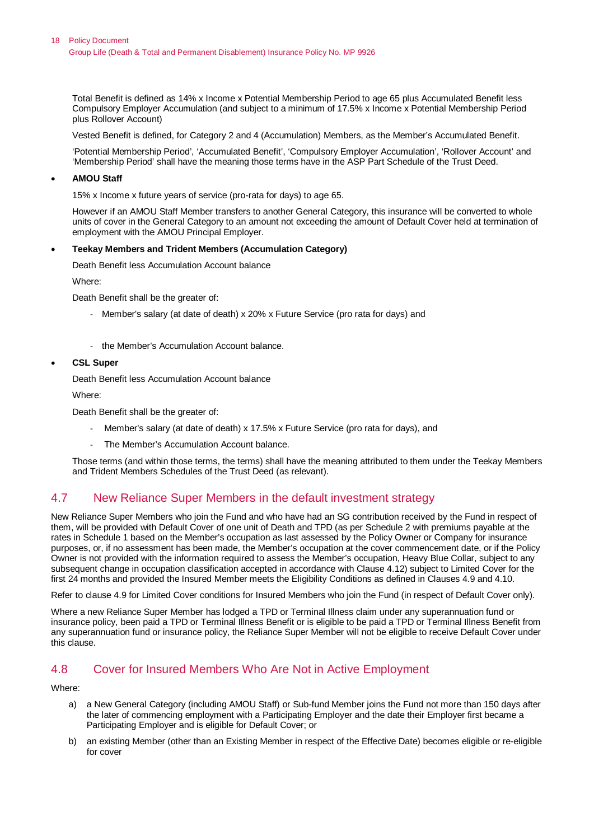Total Benefit is defined as 14% x Income x Potential Membership Period to age 65 plus Accumulated Benefit less Compulsory Employer Accumulation (and subject to a minimum of 17.5% x Income x Potential Membership Period plus Rollover Account)

Vested Benefit is defined, for Category 2 and 4 (Accumulation) Members, as the Member's Accumulated Benefit.

'Potential Membership Period', 'Accumulated Benefit', 'Compulsory Employer Accumulation', 'Rollover Account' and 'Membership Period' shall have the meaning those terms have in the ASP Part Schedule of the Trust Deed.

#### • **AMOU Staff**

15% x Income x future years of service (pro-rata for days) to age 65.

However if an AMOU Staff Member transfers to another General Category, this insurance will be converted to whole units of cover in the General Category to an amount not exceeding the amount of Default Cover held at termination of employment with the AMOU Principal Employer.

#### • **Teekay Members and Trident Members (Accumulation Category)**

Death Benefit less Accumulation Account balance

Where:

Death Benefit shall be the greater of:

- Member's salary (at date of death) x 20% x Future Service (pro rata for days) and
- the Member's Accumulation Account balance.

#### • **CSL Super**

Death Benefit less Accumulation Account balance

Where:

Death Benefit shall be the greater of:

- Member's salary (at date of death) x 17.5% x Future Service (pro rata for days), and
- The Member's Accumulation Account balance.

Those terms (and within those terms, the terms) shall have the meaning attributed to them under the Teekay Members and Trident Members Schedules of the Trust Deed (as relevant).

## <span id="page-17-0"></span>4.7 New Reliance Super Members in the default investment strategy

New Reliance Super Members who join the Fund and who have had an SG contribution received by the Fund in respect of them, will be provided with Default Cover of one unit of Death and TPD (as per Schedule 2 with premiums payable at the rates in Schedule 1 based on the Member's occupation as last assessed by the Policy Owner or Company for insurance purposes, or, if no assessment has been made, the Member's occupation at the cover commencement date, or if the Policy Owner is not provided with the information required to assess the Member's occupation, Heavy Blue Collar, subject to any subsequent change in occupation classification accepted in accordance with Clause 4.12) subject to Limited Cover for the first 24 months and provided the Insured Member meets the Eligibility Conditions as defined in Clauses 4.9 and 4.10.

Refer to clause 4.9 for Limited Cover conditions for Insured Members who join the Fund (in respect of Default Cover only).

Where a new Reliance Super Member has lodged a TPD or Terminal Illness claim under any superannuation fund or insurance policy, been paid a TPD or Terminal Illness Benefit or is eligible to be paid a TPD or Terminal Illness Benefit from any superannuation fund or insurance policy, the Reliance Super Member will not be eligible to receive Default Cover under this clause.

### <span id="page-17-1"></span>4.8 Cover for Insured Members Who Are Not in Active Employment

#### Where:

- a) a New General Category (including AMOU Staff) or Sub-fund Member joins the Fund not more than 150 days after the later of commencing employment with a Participating Employer and the date their Employer first became a Participating Employer and is eligible for Default Cover; or
- b) an existing Member (other than an Existing Member in respect of the Effective Date) becomes eligible or re-eligible for cover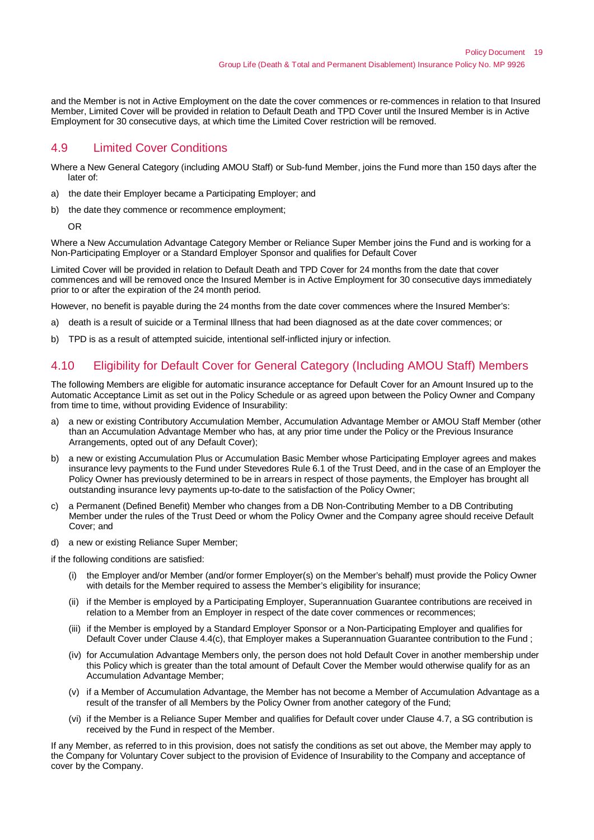and the Member is not in Active Employment on the date the cover commences or re-commences in relation to that Insured Member, Limited Cover will be provided in relation to Default Death and TPD Cover until the Insured Member is in Active Employment for 30 consecutive days, at which time the Limited Cover restriction will be removed.

## <span id="page-18-0"></span>4.9 Limited Cover Conditions

- Where a New General Category (including AMOU Staff) or Sub-fund Member, joins the Fund more than 150 days after the later of:
- a) the date their Employer became a Participating Employer; and
- b) the date they commence or recommence employment;

OR

Where a New Accumulation Advantage Category Member or Reliance Super Member joins the Fund and is working for a Non-Participating Employer or a Standard Employer Sponsor and qualifies for Default Cover

Limited Cover will be provided in relation to Default Death and TPD Cover for 24 months from the date that cover commences and will be removed once the Insured Member is in Active Employment for 30 consecutive days immediately prior to or after the expiration of the 24 month period.

However, no benefit is payable during the 24 months from the date cover commences where the Insured Member's:

- a) death is a result of suicide or a Terminal Illness that had been diagnosed as at the date cover commences; or
- b) TPD is as a result of attempted suicide, intentional self-inflicted injury or infection.

## <span id="page-18-1"></span>4.10 Eligibility for Default Cover for General Category (Including AMOU Staff) Members

The following Members are eligible for automatic insurance acceptance for Default Cover for an Amount Insured up to the Automatic Acceptance Limit as set out in the Policy Schedule or as agreed upon between the Policy Owner and Company from time to time, without providing Evidence of Insurability:

- a) a new or existing Contributory Accumulation Member, Accumulation Advantage Member or AMOU Staff Member (other than an Accumulation Advantage Member who has, at any prior time under the Policy or the Previous Insurance Arrangements, opted out of any Default Cover);
- b) a new or existing Accumulation Plus or Accumulation Basic Member whose Participating Employer agrees and makes insurance levy payments to the Fund under Stevedores Rule 6.1 of the Trust Deed, and in the case of an Employer the Policy Owner has previously determined to be in arrears in respect of those payments, the Employer has brought all outstanding insurance levy payments up-to-date to the satisfaction of the Policy Owner;
- a Permanent (Defined Benefit) Member who changes from a DB Non-Contributing Member to a DB Contributing Member under the rules of the Trust Deed or whom the Policy Owner and the Company agree should receive Default Cover; and
- d) a new or existing Reliance Super Member;

if the following conditions are satisfied:

- (i) the Employer and/or Member (and/or former Employer(s) on the Member's behalf) must provide the Policy Owner with details for the Member required to assess the Member's eligibility for insurance;
- (ii) if the Member is employed by a Participating Employer, Superannuation Guarantee contributions are received in relation to a Member from an Employer in respect of the date cover commences or recommences;
- (iii) if the Member is employed by a Standard Employer Sponsor or a Non-Participating Employer and qualifies for Default Cover under Clause 4.4(c), that Employer makes a Superannuation Guarantee contribution to the Fund ;
- (iv) for Accumulation Advantage Members only, the person does not hold Default Cover in another membership under this Policy which is greater than the total amount of Default Cover the Member would otherwise qualify for as an Accumulation Advantage Member;
- (v) if a Member of Accumulation Advantage, the Member has not become a Member of Accumulation Advantage as a result of the transfer of all Members by the Policy Owner from another category of the Fund;
- (vi) if the Member is a Reliance Super Member and qualifies for Default cover under Clause 4.7, a SG contribution is received by the Fund in respect of the Member.

If any Member, as referred to in this provision, does not satisfy the conditions as set out above, the Member may apply to the Company for Voluntary Cover subject to the provision of Evidence of Insurability to the Company and acceptance of cover by the Company.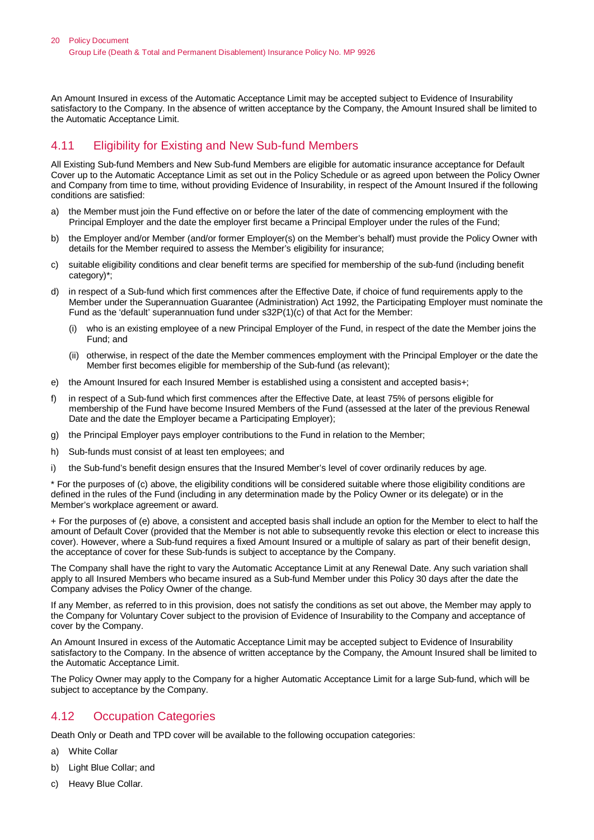An Amount Insured in excess of the Automatic Acceptance Limit may be accepted subject to Evidence of Insurability satisfactory to the Company. In the absence of written acceptance by the Company, the Amount Insured shall be limited to the Automatic Acceptance Limit.

## <span id="page-19-0"></span>4.11 Eligibility for Existing and New Sub-fund Members

All Existing Sub-fund Members and New Sub-fund Members are eligible for automatic insurance acceptance for Default Cover up to the Automatic Acceptance Limit as set out in the Policy Schedule or as agreed upon between the Policy Owner and Company from time to time, without providing Evidence of Insurability, in respect of the Amount Insured if the following conditions are satisfied:

- a) the Member must join the Fund effective on or before the later of the date of commencing employment with the Principal Employer and the date the employer first became a Principal Employer under the rules of the Fund;
- b) the Employer and/or Member (and/or former Employer(s) on the Member's behalf) must provide the Policy Owner with details for the Member required to assess the Member's eligibility for insurance;
- c) suitable eligibility conditions and clear benefit terms are specified for membership of the sub-fund (including benefit category)\*;
- d) in respect of a Sub-fund which first commences after the Effective Date, if choice of fund requirements apply to the Member under the Superannuation Guarantee (Administration) Act 1992, the Participating Employer must nominate the Fund as the 'default' superannuation fund under s32P(1)(c) of that Act for the Member:
	- (i) who is an existing employee of a new Principal Employer of the Fund, in respect of the date the Member joins the Fund; and
	- (ii) otherwise, in respect of the date the Member commences employment with the Principal Employer or the date the Member first becomes eligible for membership of the Sub-fund (as relevant);
- e) the Amount Insured for each Insured Member is established using a consistent and accepted basis+;
- f) in respect of a Sub-fund which first commences after the Effective Date, at least 75% of persons eligible for membership of the Fund have become Insured Members of the Fund (assessed at the later of the previous Renewal Date and the date the Employer became a Participating Employer);
- g) the Principal Employer pays employer contributions to the Fund in relation to the Member;
- h) Sub-funds must consist of at least ten employees; and
- i) the Sub-fund's benefit design ensures that the Insured Member's level of cover ordinarily reduces by age.

\* For the purposes of (c) above, the eligibility conditions will be considered suitable where those eligibility conditions are defined in the rules of the Fund (including in any determination made by the Policy Owner or its delegate) or in the Member's workplace agreement or award.

+ For the purposes of (e) above, a consistent and accepted basis shall include an option for the Member to elect to half the amount of Default Cover (provided that the Member is not able to subsequently revoke this election or elect to increase this cover). However, where a Sub-fund requires a fixed Amount Insured or a multiple of salary as part of their benefit design, the acceptance of cover for these Sub-funds is subject to acceptance by the Company.

The Company shall have the right to vary the Automatic Acceptance Limit at any Renewal Date. Any such variation shall apply to all Insured Members who became insured as a Sub-fund Member under this Policy 30 days after the date the Company advises the Policy Owner of the change.

If any Member, as referred to in this provision, does not satisfy the conditions as set out above, the Member may apply to the Company for Voluntary Cover subject to the provision of Evidence of Insurability to the Company and acceptance of cover by the Company.

An Amount Insured in excess of the Automatic Acceptance Limit may be accepted subject to Evidence of Insurability satisfactory to the Company. In the absence of written acceptance by the Company, the Amount Insured shall be limited to the Automatic Acceptance Limit.

The Policy Owner may apply to the Company for a higher Automatic Acceptance Limit for a large Sub-fund, which will be subject to acceptance by the Company.

## <span id="page-19-1"></span>4.12 Occupation Categories

Death Only or Death and TPD cover will be available to the following occupation categories:

- a) White Collar
- b) Light Blue Collar; and
- c) Heavy Blue Collar.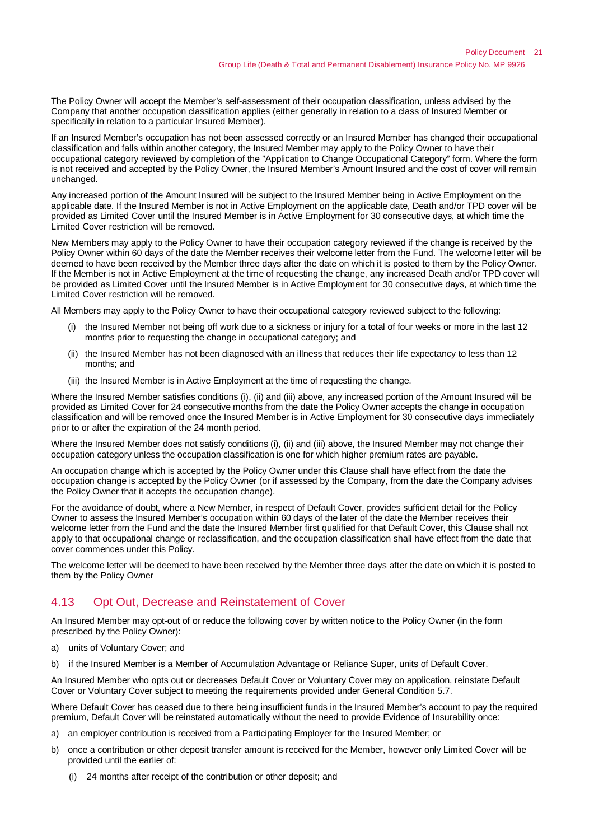The Policy Owner will accept the Member's self-assessment of their occupation classification, unless advised by the Company that another occupation classification applies (either generally in relation to a class of Insured Member or specifically in relation to a particular Insured Member).

If an Insured Member's occupation has not been assessed correctly or an Insured Member has changed their occupational classification and falls within another category, the Insured Member may apply to the Policy Owner to have their occupational category reviewed by completion of the "Application to Change Occupational Category" form. Where the form is not received and accepted by the Policy Owner, the Insured Member's Amount Insured and the cost of cover will remain unchanged.

Any increased portion of the Amount Insured will be subject to the Insured Member being in Active Employment on the applicable date. If the Insured Member is not in Active Employment on the applicable date, Death and/or TPD cover will be provided as Limited Cover until the Insured Member is in Active Employment for 30 consecutive days, at which time the Limited Cover restriction will be removed.

New Members may apply to the Policy Owner to have their occupation category reviewed if the change is received by the Policy Owner within 60 days of the date the Member receives their welcome letter from the Fund. The welcome letter will be deemed to have been received by the Member three days after the date on which it is posted to them by the Policy Owner. If the Member is not in Active Employment at the time of requesting the change, any increased Death and/or TPD cover will be provided as Limited Cover until the Insured Member is in Active Employment for 30 consecutive days, at which time the Limited Cover restriction will be removed.

All Members may apply to the Policy Owner to have their occupational category reviewed subject to the following:

- (i) the Insured Member not being off work due to a sickness or injury for a total of four weeks or more in the last 12 months prior to requesting the change in occupational category; and
- (ii) the Insured Member has not been diagnosed with an illness that reduces their life expectancy to less than 12 months; and
- (iii) the Insured Member is in Active Employment at the time of requesting the change.

Where the Insured Member satisfies conditions (i), (ii) and (iii) above, any increased portion of the Amount Insured will be provided as Limited Cover for 24 consecutive months from the date the Policy Owner accepts the change in occupation classification and will be removed once the Insured Member is in Active Employment for 30 consecutive days immediately prior to or after the expiration of the 24 month period.

Where the Insured Member does not satisfy conditions (i), (ii) and (iii) above, the Insured Member may not change their occupation category unless the occupation classification is one for which higher premium rates are payable.

An occupation change which is accepted by the Policy Owner under this Clause shall have effect from the date the occupation change is accepted by the Policy Owner (or if assessed by the Company, from the date the Company advises the Policy Owner that it accepts the occupation change).

For the avoidance of doubt, where a New Member, in respect of Default Cover, provides sufficient detail for the Policy Owner to assess the Insured Member's occupation within 60 days of the later of the date the Member receives their welcome letter from the Fund and the date the Insured Member first qualified for that Default Cover, this Clause shall not apply to that occupational change or reclassification, and the occupation classification shall have effect from the date that cover commences under this Policy.

The welcome letter will be deemed to have been received by the Member three days after the date on which it is posted to them by the Policy Owner

## <span id="page-20-0"></span>4.13 Opt Out, Decrease and Reinstatement of Cover

An Insured Member may opt-out of or reduce the following cover by written notice to the Policy Owner (in the form prescribed by the Policy Owner):

- a) units of Voluntary Cover; and
- b) if the Insured Member is a Member of Accumulation Advantage or Reliance Super, units of Default Cover.

An Insured Member who opts out or decreases Default Cover or Voluntary Cover may on application, reinstate Default Cover or Voluntary Cover subject to meeting the requirements provided under General Condition 5.7.

Where Default Cover has ceased due to there being insufficient funds in the Insured Member's account to pay the required premium, Default Cover will be reinstated automatically without the need to provide Evidence of Insurability once:

- a) an employer contribution is received from a Participating Employer for the Insured Member; or
- b) once a contribution or other deposit transfer amount is received for the Member, however only Limited Cover will be provided until the earlier of:
	- (i) 24 months after receipt of the contribution or other deposit; and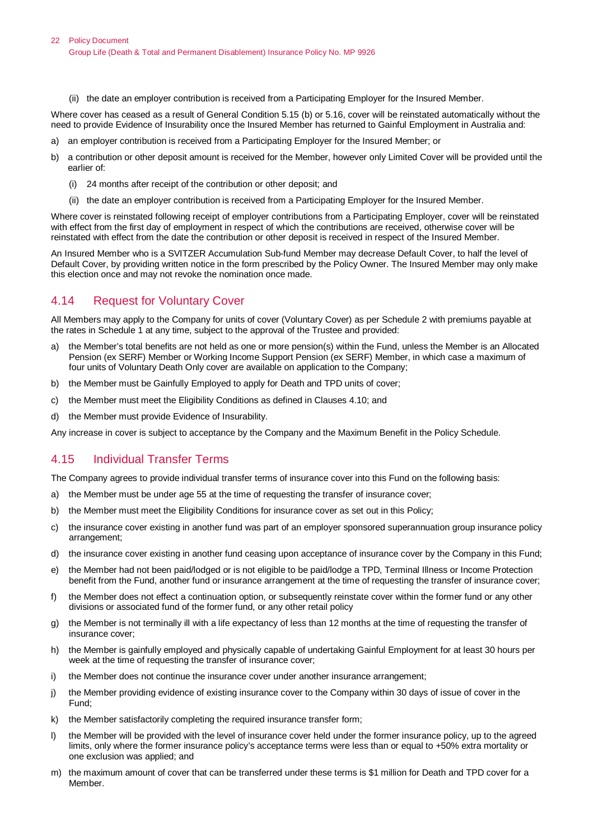(ii) the date an employer contribution is received from a Participating Employer for the Insured Member.

Where cover has ceased as a result of General Condition 5.15 (b) or 5.16, cover will be reinstated automatically without the need to provide Evidence of Insurability once the Insured Member has returned to Gainful Employment in Australia and:

- a) an employer contribution is received from a Participating Employer for the Insured Member; or
- b) a contribution or other deposit amount is received for the Member, however only Limited Cover will be provided until the earlier of:
	- (i) 24 months after receipt of the contribution or other deposit; and
	- (ii) the date an employer contribution is received from a Participating Employer for the Insured Member.

Where cover is reinstated following receipt of employer contributions from a Participating Employer, cover will be reinstated with effect from the first day of employment in respect of which the contributions are received, otherwise cover will be reinstated with effect from the date the contribution or other deposit is received in respect of the Insured Member.

An Insured Member who is a SVITZER Accumulation Sub-fund Member may decrease Default Cover, to half the level of Default Cover, by providing written notice in the form prescribed by the Policy Owner. The Insured Member may only make this election once and may not revoke the nomination once made.

## <span id="page-21-0"></span>4.14 Request for Voluntary Cover

All Members may apply to the Company for units of cover (Voluntary Cover) as per Schedule 2 with premiums payable at the rates in Schedule 1 at any time, subject to the approval of the Trustee and provided:

- a) the Member's total benefits are not held as one or more pension(s) within the Fund, unless the Member is an Allocated Pension (ex SERF) Member or Working Income Support Pension (ex SERF) Member, in which case a maximum of four units of Voluntary Death Only cover are available on application to the Company;
- b) the Member must be Gainfully Employed to apply for Death and TPD units of cover;
- c) the Member must meet the Eligibility Conditions as defined in Clauses 4.10; and
- d) the Member must provide Evidence of Insurability.

Any increase in cover is subject to acceptance by the Company and the Maximum Benefit in the Policy Schedule.

#### <span id="page-21-1"></span>4.15 Individual Transfer Terms

The Company agrees to provide individual transfer terms of insurance cover into this Fund on the following basis:

- a) the Member must be under age 55 at the time of requesting the transfer of insurance cover;
- b) the Member must meet the Eligibility Conditions for insurance cover as set out in this Policy;
- c) the insurance cover existing in another fund was part of an employer sponsored superannuation group insurance policy arrangement;
- d) the insurance cover existing in another fund ceasing upon acceptance of insurance cover by the Company in this Fund;
- e) the Member had not been paid/lodged or is not eligible to be paid/lodge a TPD, Terminal Illness or Income Protection benefit from the Fund, another fund or insurance arrangement at the time of requesting the transfer of insurance cover;
- f) the Member does not effect a continuation option, or subsequently reinstate cover within the former fund or any other divisions or associated fund of the former fund, or any other retail policy
- g) the Member is not terminally ill with a life expectancy of less than 12 months at the time of requesting the transfer of insurance cover;
- h) the Member is gainfully employed and physically capable of undertaking Gainful Employment for at least 30 hours per week at the time of requesting the transfer of insurance cover;
- i) the Member does not continue the insurance cover under another insurance arrangement;
- j) the Member providing evidence of existing insurance cover to the Company within 30 days of issue of cover in the Fund;
- k) the Member satisfactorily completing the required insurance transfer form;
- l) the Member will be provided with the level of insurance cover held under the former insurance policy, up to the agreed limits, only where the former insurance policy's acceptance terms were less than or equal to +50% extra mortality or one exclusion was applied; and
- m) the maximum amount of cover that can be transferred under these terms is \$1 million for Death and TPD cover for a **Memher**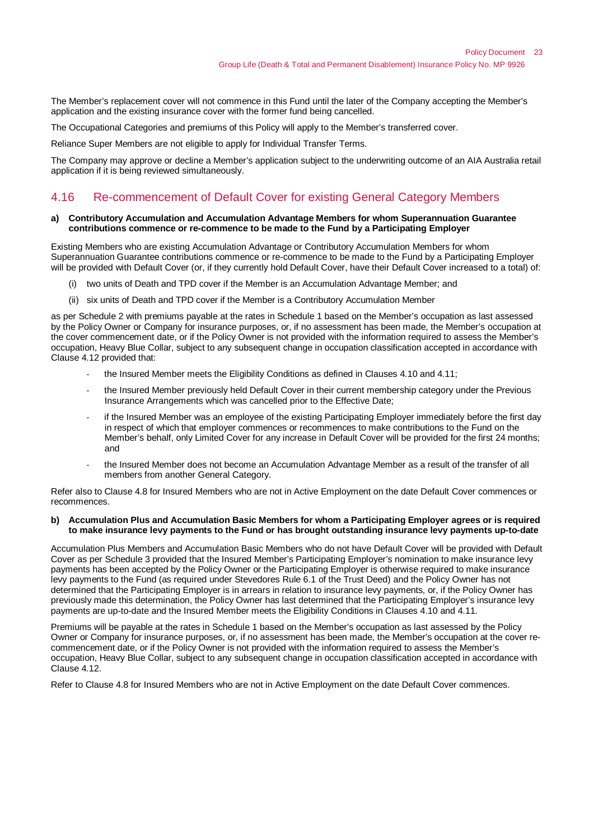The Member's replacement cover will not commence in this Fund until the later of the Company accepting the Member's application and the existing insurance cover with the former fund being cancelled.

The Occupational Categories and premiums of this Policy will apply to the Member's transferred cover.

Reliance Super Members are not eligible to apply for Individual Transfer Terms.

The Company may approve or decline a Member's application subject to the underwriting outcome of an AIA Australia retail application if it is being reviewed simultaneously.

### <span id="page-22-0"></span>4.16 Re-commencement of Default Cover for existing General Category Members

#### **a) Contributory Accumulation and Accumulation Advantage Members for whom Superannuation Guarantee contributions commence or re-commence to be made to the Fund by a Participating Employer**

Existing Members who are existing Accumulation Advantage or Contributory Accumulation Members for whom Superannuation Guarantee contributions commence or re-commence to be made to the Fund by a Participating Employer will be provided with Default Cover (or, if they currently hold Default Cover, have their Default Cover increased to a total) of:

- (i) two units of Death and TPD cover if the Member is an Accumulation Advantage Member; and
- (ii) six units of Death and TPD cover if the Member is a Contributory Accumulation Member

as per Schedule 2 with premiums payable at the rates in Schedule 1 based on the Member's occupation as last assessed by the Policy Owner or Company for insurance purposes, or, if no assessment has been made, the Member's occupation at the cover commencement date, or if the Policy Owner is not provided with the information required to assess the Member's occupation, Heavy Blue Collar, subject to any subsequent change in occupation classification accepted in accordance with Clause 4.12 provided that:

- the Insured Member meets the Eligibility Conditions as defined in Clauses 4.10 and 4.11;
- the Insured Member previously held Default Cover in their current membership category under the Previous Insurance Arrangements which was cancelled prior to the Effective Date;
- if the Insured Member was an employee of the existing Participating Employer immediately before the first day in respect of which that employer commences or recommences to make contributions to the Fund on the Member's behalf, only Limited Cover for any increase in Default Cover will be provided for the first 24 months; and
- the Insured Member does not become an Accumulation Advantage Member as a result of the transfer of all members from another General Category.

Refer also to Clause 4.8 for Insured Members who are not in Active Employment on the date Default Cover commences or recommences.

#### **b) Accumulation Plus and Accumulation Basic Members for whom a Participating Employer agrees or is required to make insurance levy payments to the Fund or has brought outstanding insurance levy payments up-to-date**

Accumulation Plus Members and Accumulation Basic Members who do not have Default Cover will be provided with Default Cover as per Schedule 3 provided that the Insured Member's Participating Employer's nomination to make insurance levy payments has been accepted by the Policy Owner or the Participating Employer is otherwise required to make insurance levy payments to the Fund (as required under Stevedores Rule 6.1 of the Trust Deed) and the Policy Owner has not determined that the Participating Employer is in arrears in relation to insurance levy payments, or, if the Policy Owner has previously made this determination, the Policy Owner has last determined that the Participating Employer's insurance levy payments are up-to-date and the Insured Member meets the Eligibility Conditions in Clauses 4.10 and 4.11.

Premiums will be payable at the rates in Schedule 1 based on the Member's occupation as last assessed by the Policy Owner or Company for insurance purposes, or, if no assessment has been made, the Member's occupation at the cover recommencement date, or if the Policy Owner is not provided with the information required to assess the Member's occupation, Heavy Blue Collar, subject to any subsequent change in occupation classification accepted in accordance with Clause 4.12.

Refer to Clause 4.8 for Insured Members who are not in Active Employment on the date Default Cover commences.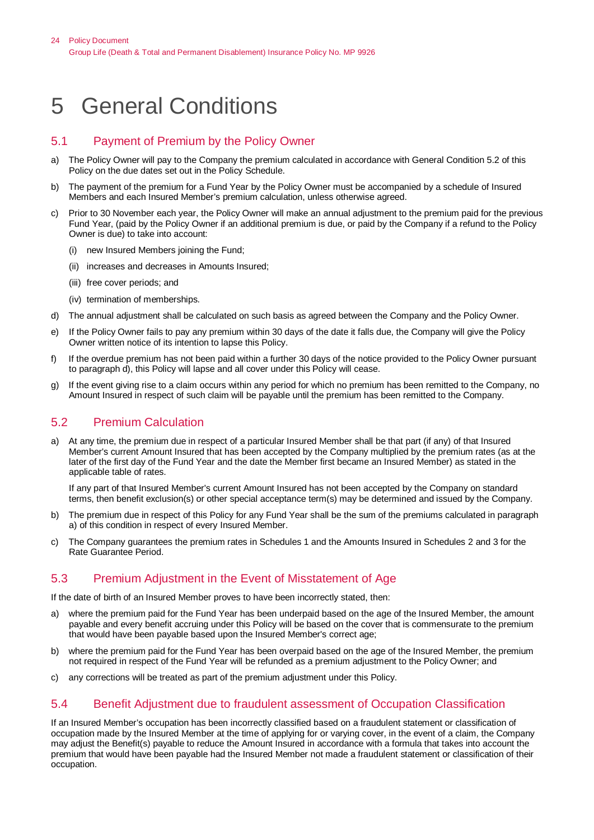## <span id="page-23-0"></span>5 General Conditions

## <span id="page-23-1"></span>5.1 Payment of Premium by the Policy Owner

- a) The Policy Owner will pay to the Company the premium calculated in accordance with General Condition 5.2 of this Policy on the due dates set out in the Policy Schedule.
- b) The payment of the premium for a Fund Year by the Policy Owner must be accompanied by a schedule of Insured Members and each Insured Member's premium calculation, unless otherwise agreed.
- c) Prior to 30 November each year, the Policy Owner will make an annual adjustment to the premium paid for the previous Fund Year, (paid by the Policy Owner if an additional premium is due, or paid by the Company if a refund to the Policy Owner is due) to take into account:
	- (i) new Insured Members joining the Fund;
	- (ii) increases and decreases in Amounts Insured;
	- (iii) free cover periods; and
	- (iv) termination of memberships.
- d) The annual adjustment shall be calculated on such basis as agreed between the Company and the Policy Owner.
- e) If the Policy Owner fails to pay any premium within 30 days of the date it falls due, the Company will give the Policy Owner written notice of its intention to lapse this Policy.
- f) If the overdue premium has not been paid within a further 30 days of the notice provided to the Policy Owner pursuant to paragraph d), this Policy will lapse and all cover under this Policy will cease.
- g) If the event giving rise to a claim occurs within any period for which no premium has been remitted to the Company, no Amount Insured in respect of such claim will be payable until the premium has been remitted to the Company.

## <span id="page-23-2"></span>5.2 Premium Calculation

a) At any time, the premium due in respect of a particular Insured Member shall be that part (if any) of that Insured Member's current Amount Insured that has been accepted by the Company multiplied by the premium rates (as at the later of the first day of the Fund Year and the date the Member first became an Insured Member) as stated in the applicable table of rates.

If any part of that Insured Member's current Amount Insured has not been accepted by the Company on standard terms, then benefit exclusion(s) or other special acceptance term(s) may be determined and issued by the Company.

- b) The premium due in respect of this Policy for any Fund Year shall be the sum of the premiums calculated in paragraph a) of this condition in respect of every Insured Member.
- c) The Company guarantees the premium rates in Schedules 1 and the Amounts Insured in Schedules 2 and 3 for the Rate Guarantee Period.

## <span id="page-23-3"></span>5.3 Premium Adjustment in the Event of Misstatement of Age

If the date of birth of an Insured Member proves to have been incorrectly stated, then:

- a) where the premium paid for the Fund Year has been underpaid based on the age of the Insured Member, the amount payable and every benefit accruing under this Policy will be based on the cover that is commensurate to the premium that would have been payable based upon the Insured Member's correct age;
- b) where the premium paid for the Fund Year has been overpaid based on the age of the Insured Member, the premium not required in respect of the Fund Year will be refunded as a premium adjustment to the Policy Owner; and
- c) any corrections will be treated as part of the premium adjustment under this Policy.

## <span id="page-23-4"></span>5.4 Benefit Adjustment due to fraudulent assessment of Occupation Classification

If an Insured Member's occupation has been incorrectly classified based on a fraudulent statement or classification of occupation made by the Insured Member at the time of applying for or varying cover, in the event of a claim, the Company may adjust the Benefit(s) payable to reduce the Amount Insured in accordance with a formula that takes into account the premium that would have been payable had the Insured Member not made a fraudulent statement or classification of their occupation.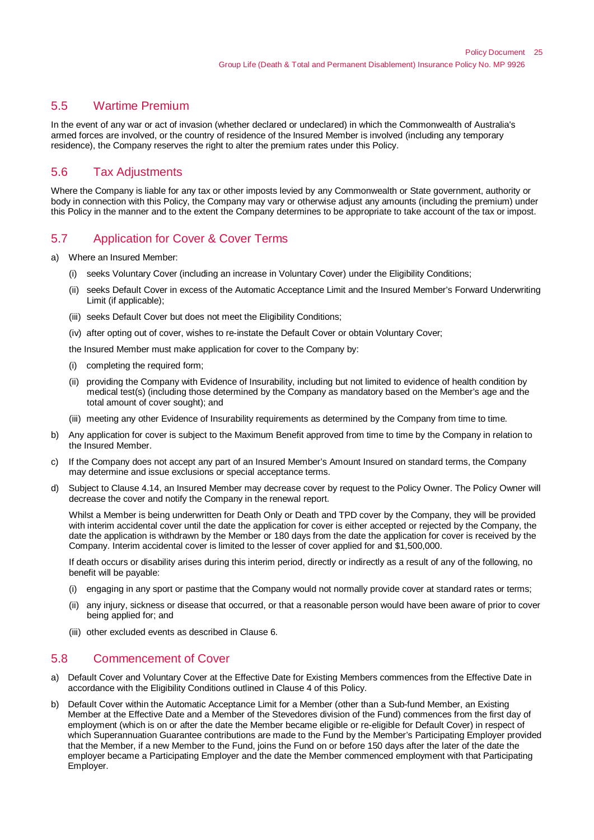## <span id="page-24-0"></span>5.5 Wartime Premium

In the event of any war or act of invasion (whether declared or undeclared) in which the Commonwealth of Australia's armed forces are involved, or the country of residence of the Insured Member is involved (including any temporary residence), the Company reserves the right to alter the premium rates under this Policy.

## <span id="page-24-1"></span>5.6 Tax Adjustments

Where the Company is liable for any tax or other imposts levied by any Commonwealth or State government, authority or body in connection with this Policy, the Company may vary or otherwise adjust any amounts (including the premium) under this Policy in the manner and to the extent the Company determines to be appropriate to take account of the tax or impost.

## <span id="page-24-2"></span>5.7 Application for Cover & Cover Terms

a) Where an Insured Member:

- (i) seeks Voluntary Cover (including an increase in Voluntary Cover) under the Eligibility Conditions;
- (ii) seeks Default Cover in excess of the Automatic Acceptance Limit and the Insured Member's Forward Underwriting Limit (if applicable);
- (iii) seeks Default Cover but does not meet the Eligibility Conditions;
- (iv) after opting out of cover, wishes to re-instate the Default Cover or obtain Voluntary Cover;
- the Insured Member must make application for cover to the Company by:
- (i) completing the required form;
- (ii) providing the Company with Evidence of Insurability, including but not limited to evidence of health condition by medical test(s) (including those determined by the Company as mandatory based on the Member's age and the total amount of cover sought); and
- (iii) meeting any other Evidence of Insurability requirements as determined by the Company from time to time.
- b) Any application for cover is subject to the Maximum Benefit approved from time to time by the Company in relation to the Insured Member.
- c) If the Company does not accept any part of an Insured Member's Amount Insured on standard terms, the Company may determine and issue exclusions or special acceptance terms.
- d) Subject to Clause 4.14, an Insured Member may decrease cover by request to the Policy Owner. The Policy Owner will decrease the cover and notify the Company in the renewal report.

Whilst a Member is being underwritten for Death Only or Death and TPD cover by the Company, they will be provided with interim accidental cover until the date the application for cover is either accepted or rejected by the Company, the date the application is withdrawn by the Member or 180 days from the date the application for cover is received by the Company. Interim accidental cover is limited to the lesser of cover applied for and \$1,500,000.

If death occurs or disability arises during this interim period, directly or indirectly as a result of any of the following, no benefit will be payable:

- (i) engaging in any sport or pastime that the Company would not normally provide cover at standard rates or terms;
- (ii) any injury, sickness or disease that occurred, or that a reasonable person would have been aware of prior to cover being applied for; and
- (iii) other excluded events as described in Clause 6.

### <span id="page-24-3"></span>5.8 Commencement of Cover

- a) Default Cover and Voluntary Cover at the Effective Date for Existing Members commences from the Effective Date in accordance with the Eligibility Conditions outlined in Clause 4 of this Policy.
- b) Default Cover within the Automatic Acceptance Limit for a Member (other than a Sub-fund Member, an Existing Member at the Effective Date and a Member of the Stevedores division of the Fund) commences from the first day of employment (which is on or after the date the Member became eligible or re-eligible for Default Cover) in respect of which Superannuation Guarantee contributions are made to the Fund by the Member's Participating Employer provided that the Member, if a new Member to the Fund, joins the Fund on or before 150 days after the later of the date the employer became a Participating Employer and the date the Member commenced employment with that Participating Employer.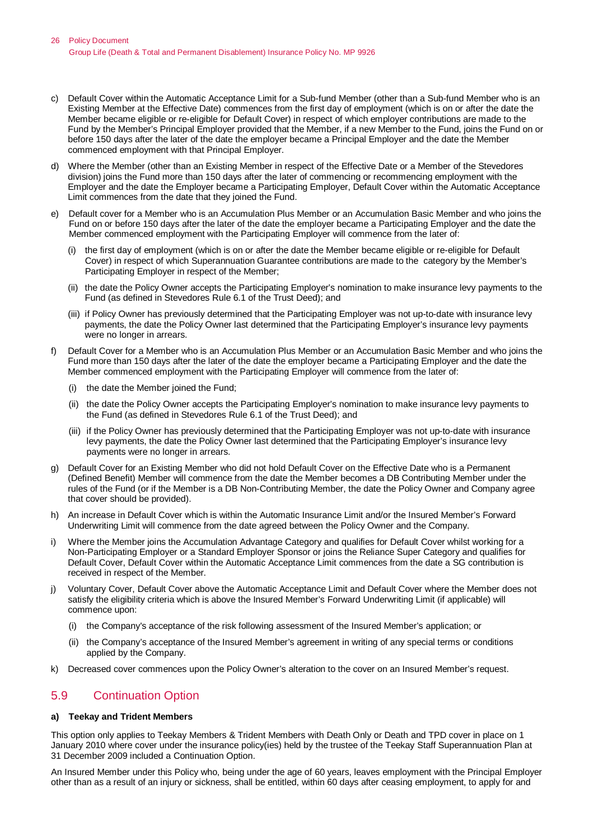- c) Default Cover within the Automatic Acceptance Limit for a Sub-fund Member (other than a Sub-fund Member who is an Existing Member at the Effective Date) commences from the first day of employment (which is on or after the date the Member became eligible or re-eligible for Default Cover) in respect of which employer contributions are made to the Fund by the Member's Principal Employer provided that the Member, if a new Member to the Fund, joins the Fund on or before 150 days after the later of the date the employer became a Principal Employer and the date the Member commenced employment with that Principal Employer.
- d) Where the Member (other than an Existing Member in respect of the Effective Date or a Member of the Stevedores division) joins the Fund more than 150 days after the later of commencing or recommencing employment with the Employer and the date the Employer became a Participating Employer, Default Cover within the Automatic Acceptance Limit commences from the date that they joined the Fund.
- e) Default cover for a Member who is an Accumulation Plus Member or an Accumulation Basic Member and who joins the Fund on or before 150 days after the later of the date the employer became a Participating Employer and the date the Member commenced employment with the Participating Employer will commence from the later of:
	- (i) the first day of employment (which is on or after the date the Member became eligible or re-eligible for Default Cover) in respect of which Superannuation Guarantee contributions are made to the category by the Member's Participating Employer in respect of the Member;
	- (ii) the date the Policy Owner accepts the Participating Employer's nomination to make insurance levy payments to the Fund (as defined in Stevedores Rule 6.1 of the Trust Deed); and
	- (iii) if Policy Owner has previously determined that the Participating Employer was not up-to-date with insurance levy payments, the date the Policy Owner last determined that the Participating Employer's insurance levy payments were no longer in arrears.
- f) Default Cover for a Member who is an Accumulation Plus Member or an Accumulation Basic Member and who joins the Fund more than 150 days after the later of the date the employer became a Participating Employer and the date the Member commenced employment with the Participating Employer will commence from the later of:
	- (i) the date the Member joined the Fund;
	- (ii) the date the Policy Owner accepts the Participating Employer's nomination to make insurance levy payments to the Fund (as defined in Stevedores Rule 6.1 of the Trust Deed); and
	- (iii) if the Policy Owner has previously determined that the Participating Employer was not up-to-date with insurance levy payments, the date the Policy Owner last determined that the Participating Employer's insurance levy payments were no longer in arrears.
- g) Default Cover for an Existing Member who did not hold Default Cover on the Effective Date who is a Permanent (Defined Benefit) Member will commence from the date the Member becomes a DB Contributing Member under the rules of the Fund (or if the Member is a DB Non-Contributing Member, the date the Policy Owner and Company agree that cover should be provided).
- h) An increase in Default Cover which is within the Automatic Insurance Limit and/or the Insured Member's Forward Underwriting Limit will commence from the date agreed between the Policy Owner and the Company.
- i) Where the Member joins the Accumulation Advantage Category and qualifies for Default Cover whilst working for a Non-Participating Employer or a Standard Employer Sponsor or joins the Reliance Super Category and qualifies for Default Cover, Default Cover within the Automatic Acceptance Limit commences from the date a SG contribution is received in respect of the Member.
- j) Voluntary Cover, Default Cover above the Automatic Acceptance Limit and Default Cover where the Member does not satisfy the eligibility criteria which is above the Insured Member's Forward Underwriting Limit (if applicable) will commence upon:
	- (i) the Company's acceptance of the risk following assessment of the Insured Member's application; or
	- (ii) the Company's acceptance of the Insured Member's agreement in writing of any special terms or conditions applied by the Company.
- k) Decreased cover commences upon the Policy Owner's alteration to the cover on an Insured Member's request.

## <span id="page-25-0"></span>5.9 Continuation Option

#### **a) Teekay and Trident Members**

This option only applies to Teekay Members & Trident Members with Death Only or Death and TPD cover in place on 1 January 2010 where cover under the insurance policy(ies) held by the trustee of the Teekay Staff Superannuation Plan at 31 December 2009 included a Continuation Option.

An Insured Member under this Policy who, being under the age of 60 years, leaves employment with the Principal Employer other than as a result of an injury or sickness, shall be entitled, within 60 days after ceasing employment, to apply for and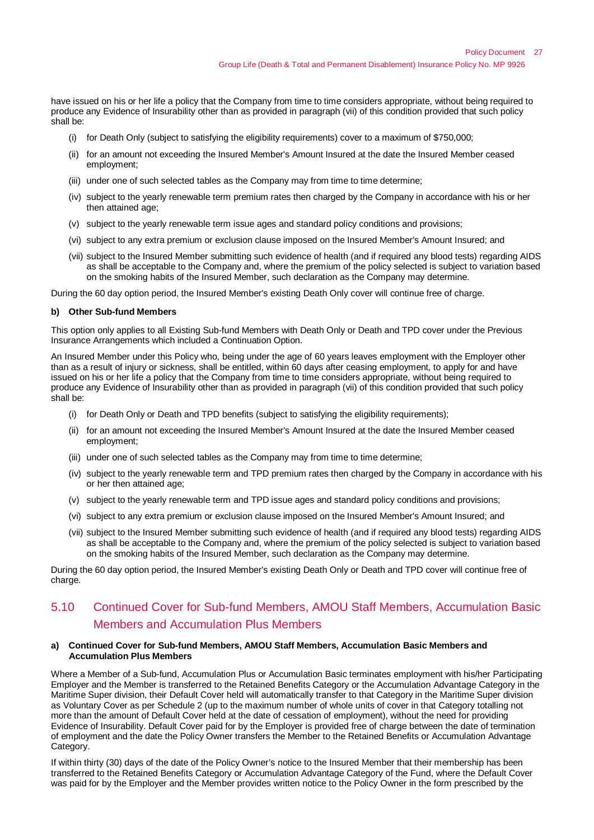have issued on his or her life a policy that the Company from time to time considers appropriate, without being required to produce any Evidence of Insurability other than as provided in paragraph (vii) of this condition provided that such policy shall be:

- (i) for Death Only (subject to satisfying the eligibility requirements) cover to a maximum of \$750,000;
- (ii) for an amount not exceeding the Insured Member's Amount Insured at the date the Insured Member ceased employment;
- (iii) under one of such selected tables as the Company may from time to time determine;
- (iv) subject to the yearly renewable term premium rates then charged by the Company in accordance with his or her then attained age;
- (v) subject to the yearly renewable term issue ages and standard policy conditions and provisions;
- (vi) subject to any extra premium or exclusion clause imposed on the Insured Member's Amount Insured; and
- (vii) subject to the Insured Member submitting such evidence of health (and if required any blood tests) regarding AIDS as shall be acceptable to the Company and, where the premium of the policy selected is subject to variation based on the smoking habits of the Insured Member, such declaration as the Company may determine.

During the 60 day option period, the Insured Member's existing Death Only cover will continue free of charge.

#### **b) Other Sub-fund Members**

This option only applies to all Existing Sub-fund Members with Death Only or Death and TPD cover under the Previous Insurance Arrangements which included a Continuation Option.

An Insured Member under this Policy who, being under the age of 60 years leaves employment with the Employer other than as a result of injury or sickness, shall be entitled, within 60 days after ceasing employment, to apply for and have issued on his or her life a policy that the Company from time to time considers appropriate, without being required to produce any Evidence of Insurability other than as provided in paragraph (vii) of this condition provided that such policy shall be:

- (i) for Death Only or Death and TPD benefits (subject to satisfying the eligibility requirements);
- (ii) for an amount not exceeding the Insured Member's Amount Insured at the date the Insured Member ceased employment;
- (iii) under one of such selected tables as the Company may from time to time determine;
- (iv) subject to the yearly renewable term and TPD premium rates then charged by the Company in accordance with his or her then attained age;
- (v) subject to the yearly renewable term and TPD issue ages and standard policy conditions and provisions;
- (vi) subject to any extra premium or exclusion clause imposed on the Insured Member's Amount Insured; and
- (vii) subject to the Insured Member submitting such evidence of health (and if required any blood tests) regarding AIDS as shall be acceptable to the Company and, where the premium of the policy selected is subject to variation based on the smoking habits of the Insured Member, such declaration as the Company may determine.

During the 60 day option period, the Insured Member's existing Death Only or Death and TPD cover will continue free of charge.

## <span id="page-26-0"></span>5.10 Continued Cover for Sub-fund Members, AMOU Staff Members, Accumulation Basic Members and Accumulation Plus Members

#### **a) Continued Cover for Sub-fund Members, AMOU Staff Members, Accumulation Basic Members and Accumulation Plus Members**

Where a Member of a Sub-fund, Accumulation Plus or Accumulation Basic terminates employment with his/her Participating Employer and the Member is transferred to the Retained Benefits Category or the Accumulation Advantage Category in the Maritime Super division, their Default Cover held will automatically transfer to that Category in the Maritime Super division as Voluntary Cover as per Schedule 2 (up to the maximum number of whole units of cover in that Category totalling not more than the amount of Default Cover held at the date of cessation of employment), without the need for providing Evidence of Insurability. Default Cover paid for by the Employer is provided free of charge between the date of termination of employment and the date the Policy Owner transfers the Member to the Retained Benefits or Accumulation Advantage Category.

If within thirty (30) days of the date of the Policy Owner's notice to the Insured Member that their membership has been transferred to the Retained Benefits Category or Accumulation Advantage Category of the Fund, where the Default Cover was paid for by the Employer and the Member provides written notice to the Policy Owner in the form prescribed by the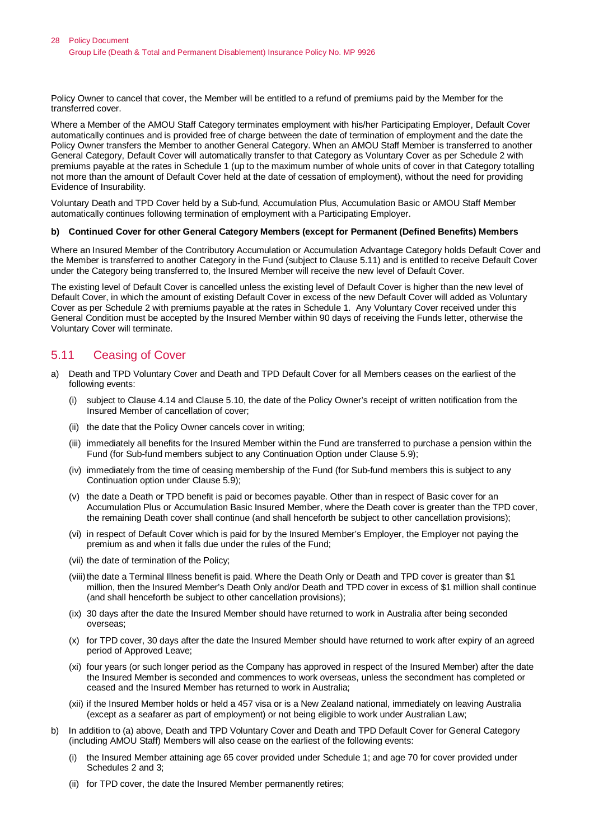Policy Owner to cancel that cover, the Member will be entitled to a refund of premiums paid by the Member for the transferred cover.

Where a Member of the AMOU Staff Category terminates employment with his/her Participating Employer, Default Cover automatically continues and is provided free of charge between the date of termination of employment and the date the Policy Owner transfers the Member to another General Category. When an AMOU Staff Member is transferred to another General Category, Default Cover will automatically transfer to that Category as Voluntary Cover as per Schedule 2 with premiums payable at the rates in Schedule 1 (up to the maximum number of whole units of cover in that Category totalling not more than the amount of Default Cover held at the date of cessation of employment), without the need for providing Evidence of Insurability.

Voluntary Death and TPD Cover held by a Sub-fund, Accumulation Plus, Accumulation Basic or AMOU Staff Member automatically continues following termination of employment with a Participating Employer.

#### **b) Continued Cover for other General Category Members (except for Permanent (Defined Benefits) Members**

Where an Insured Member of the Contributory Accumulation or Accumulation Advantage Category holds Default Cover and the Member is transferred to another Category in the Fund (subject to Clause 5.11) and is entitled to receive Default Cover under the Category being transferred to, the Insured Member will receive the new level of Default Cover.

The existing level of Default Cover is cancelled unless the existing level of Default Cover is higher than the new level of Default Cover, in which the amount of existing Default Cover in excess of the new Default Cover will added as Voluntary Cover as per Schedule 2 with premiums payable at the rates in Schedule 1. Any Voluntary Cover received under this General Condition must be accepted by the Insured Member within 90 days of receiving the Funds letter, otherwise the Voluntary Cover will terminate.

#### <span id="page-27-0"></span>5.11 Ceasing of Cover

- a) Death and TPD Voluntary Cover and Death and TPD Default Cover for all Members ceases on the earliest of the following events:
	- (i) subject to Clause 4.14 and Clause 5.10, the date of the Policy Owner's receipt of written notification from the Insured Member of cancellation of cover;
	- (ii) the date that the Policy Owner cancels cover in writing;
	- (iii) immediately all benefits for the Insured Member within the Fund are transferred to purchase a pension within the Fund (for Sub-fund members subject to any Continuation Option under Clause 5.9);
	- (iv) immediately from the time of ceasing membership of the Fund (for Sub-fund members this is subject to any Continuation option under Clause 5.9);
	- (v) the date a Death or TPD benefit is paid or becomes payable. Other than in respect of Basic cover for an Accumulation Plus or Accumulation Basic Insured Member, where the Death cover is greater than the TPD cover, the remaining Death cover shall continue (and shall henceforth be subject to other cancellation provisions);
	- (vi) in respect of Default Cover which is paid for by the Insured Member's Employer, the Employer not paying the premium as and when it falls due under the rules of the Fund;
	- (vii) the date of termination of the Policy;
	- (viii) the date a Terminal Illness benefit is paid. Where the Death Only or Death and TPD cover is greater than \$1 million, then the Insured Member's Death Only and/or Death and TPD cover in excess of \$1 million shall continue (and shall henceforth be subject to other cancellation provisions);
	- (ix) 30 days after the date the Insured Member should have returned to work in Australia after being seconded overseas;
	- (x) for TPD cover, 30 days after the date the Insured Member should have returned to work after expiry of an agreed period of Approved Leave;
	- (xi) four years (or such longer period as the Company has approved in respect of the Insured Member) after the date the Insured Member is seconded and commences to work overseas, unless the secondment has completed or ceased and the Insured Member has returned to work in Australia;
	- (xii) if the Insured Member holds or held a 457 visa or is a New Zealand national, immediately on leaving Australia (except as a seafarer as part of employment) or not being eligible to work under Australian Law;
- b) In addition to (a) above, Death and TPD Voluntary Cover and Death and TPD Default Cover for General Category (including AMOU Staff) Members will also cease on the earliest of the following events:
	- the Insured Member attaining age 65 cover provided under Schedule 1; and age 70 for cover provided under Schedules 2 and 3;
	- (ii) for TPD cover, the date the Insured Member permanently retires;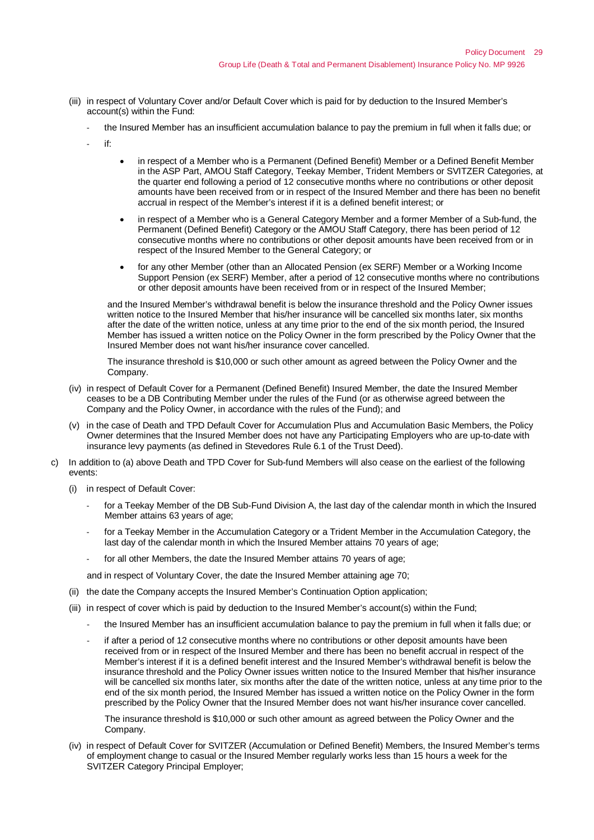- (iii) in respect of Voluntary Cover and/or Default Cover which is paid for by deduction to the Insured Member's account(s) within the Fund:
	- the Insured Member has an insufficient accumulation balance to pay the premium in full when it falls due; or
	- if:
- in respect of a Member who is a Permanent (Defined Benefit) Member or a Defined Benefit Member in the ASP Part, AMOU Staff Category, Teekay Member, Trident Members or SVITZER Categories, at the quarter end following a period of 12 consecutive months where no contributions or other deposit amounts have been received from or in respect of the Insured Member and there has been no benefit accrual in respect of the Member's interest if it is a defined benefit interest; or
- in respect of a Member who is a General Category Member and a former Member of a Sub-fund, the Permanent (Defined Benefit) Category or the AMOU Staff Category, there has been period of 12 consecutive months where no contributions or other deposit amounts have been received from or in respect of the Insured Member to the General Category; or
- for any other Member (other than an Allocated Pension (ex SERF) Member or a Working Income Support Pension (ex SERF) Member, after a period of 12 consecutive months where no contributions or other deposit amounts have been received from or in respect of the Insured Member;

and the Insured Member's withdrawal benefit is below the insurance threshold and the Policy Owner issues written notice to the Insured Member that his/her insurance will be cancelled six months later, six months after the date of the written notice, unless at any time prior to the end of the six month period, the Insured Member has issued a written notice on the Policy Owner in the form prescribed by the Policy Owner that the Insured Member does not want his/her insurance cover cancelled.

The insurance threshold is \$10,000 or such other amount as agreed between the Policy Owner and the Company.

- (iv) in respect of Default Cover for a Permanent (Defined Benefit) Insured Member, the date the Insured Member ceases to be a DB Contributing Member under the rules of the Fund (or as otherwise agreed between the Company and the Policy Owner, in accordance with the rules of the Fund); and
- (v) in the case of Death and TPD Default Cover for Accumulation Plus and Accumulation Basic Members, the Policy Owner determines that the Insured Member does not have any Participating Employers who are up-to-date with insurance levy payments (as defined in Stevedores Rule 6.1 of the Trust Deed).
- c) In addition to (a) above Death and TPD Cover for Sub-fund Members will also cease on the earliest of the following events:
	- (i) in respect of Default Cover:
		- for a Teekay Member of the DB Sub-Fund Division A, the last day of the calendar month in which the Insured Member attains 63 years of age;
		- for a Teekay Member in the Accumulation Category or a Trident Member in the Accumulation Category, the last day of the calendar month in which the Insured Member attains 70 years of age;
		- for all other Members, the date the Insured Member attains 70 years of age;
		- and in respect of Voluntary Cover, the date the Insured Member attaining age 70;
	- (ii) the date the Company accepts the Insured Member's Continuation Option application;
	- (iii) in respect of cover which is paid by deduction to the Insured Member's account(s) within the Fund;
		- the Insured Member has an insufficient accumulation balance to pay the premium in full when it falls due; or
		- if after a period of 12 consecutive months where no contributions or other deposit amounts have been received from or in respect of the Insured Member and there has been no benefit accrual in respect of the Member's interest if it is a defined benefit interest and the Insured Member's withdrawal benefit is below the insurance threshold and the Policy Owner issues written notice to the Insured Member that his/her insurance will be cancelled six months later, six months after the date of the written notice, unless at any time prior to the end of the six month period, the Insured Member has issued a written notice on the Policy Owner in the form prescribed by the Policy Owner that the Insured Member does not want his/her insurance cover cancelled.

The insurance threshold is \$10,000 or such other amount as agreed between the Policy Owner and the Company.

(iv) in respect of Default Cover for SVITZER (Accumulation or Defined Benefit) Members, the Insured Member's terms of employment change to casual or the Insured Member regularly works less than 15 hours a week for the SVITZER Category Principal Employer;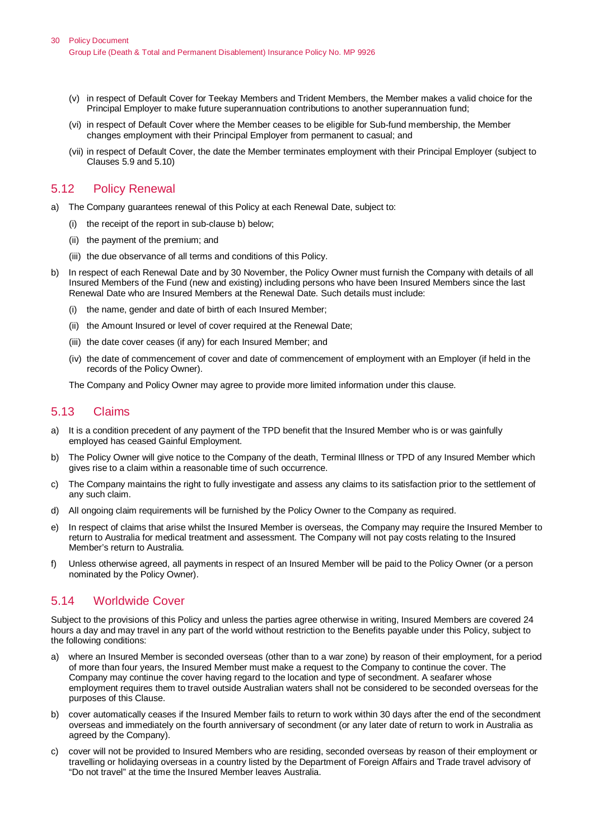- (v) in respect of Default Cover for Teekay Members and Trident Members, the Member makes a valid choice for the Principal Employer to make future superannuation contributions to another superannuation fund;
- (vi) in respect of Default Cover where the Member ceases to be eligible for Sub-fund membership, the Member changes employment with their Principal Employer from permanent to casual; and
- (vii) in respect of Default Cover, the date the Member terminates employment with their Principal Employer (subject to Clauses 5.9 and 5.10)

#### <span id="page-29-0"></span>5.12 Policy Renewal

- The Company guarantees renewal of this Policy at each Renewal Date, subject to:
	- (i) the receipt of the report in sub-clause b) below;
	- (ii) the payment of the premium; and
	- (iii) the due observance of all terms and conditions of this Policy.
- b) In respect of each Renewal Date and by 30 November, the Policy Owner must furnish the Company with details of all Insured Members of the Fund (new and existing) including persons who have been Insured Members since the last Renewal Date who are Insured Members at the Renewal Date. Such details must include:
	- (i) the name, gender and date of birth of each Insured Member;
	- (ii) the Amount Insured or level of cover required at the Renewal Date;
	- (iii) the date cover ceases (if any) for each Insured Member; and
	- (iv) the date of commencement of cover and date of commencement of employment with an Employer (if held in the records of the Policy Owner).
	- The Company and Policy Owner may agree to provide more limited information under this clause.

#### <span id="page-29-1"></span>5.13 Claims

- It is a condition precedent of any payment of the TPD benefit that the Insured Member who is or was gainfully employed has ceased Gainful Employment.
- b) The Policy Owner will give notice to the Company of the death, Terminal Illness or TPD of any Insured Member which gives rise to a claim within a reasonable time of such occurrence.
- c) The Company maintains the right to fully investigate and assess any claims to its satisfaction prior to the settlement of any such claim.
- d) All ongoing claim requirements will be furnished by the Policy Owner to the Company as required.
- e) In respect of claims that arise whilst the Insured Member is overseas, the Company may require the Insured Member to return to Australia for medical treatment and assessment. The Company will not pay costs relating to the Insured Member's return to Australia.
- f) Unless otherwise agreed, all payments in respect of an Insured Member will be paid to the Policy Owner (or a person nominated by the Policy Owner).

#### <span id="page-29-2"></span>5.14 Worldwide Cover

Subject to the provisions of this Policy and unless the parties agree otherwise in writing, Insured Members are covered 24 hours a day and may travel in any part of the world without restriction to the Benefits payable under this Policy, subject to the following conditions:

- where an Insured Member is seconded overseas (other than to a war zone) by reason of their employment, for a period of more than four years, the Insured Member must make a request to the Company to continue the cover. The Company may continue the cover having regard to the location and type of secondment. A seafarer whose employment requires them to travel outside Australian waters shall not be considered to be seconded overseas for the purposes of this Clause.
- b) cover automatically ceases if the Insured Member fails to return to work within 30 days after the end of the secondment overseas and immediately on the fourth anniversary of secondment (or any later date of return to work in Australia as agreed by the Company).
- c) cover will not be provided to Insured Members who are residing, seconded overseas by reason of their employment or travelling or holidaying overseas in a country listed by the Department of Foreign Affairs and Trade travel advisory of "Do not travel" at the time the Insured Member leaves Australia.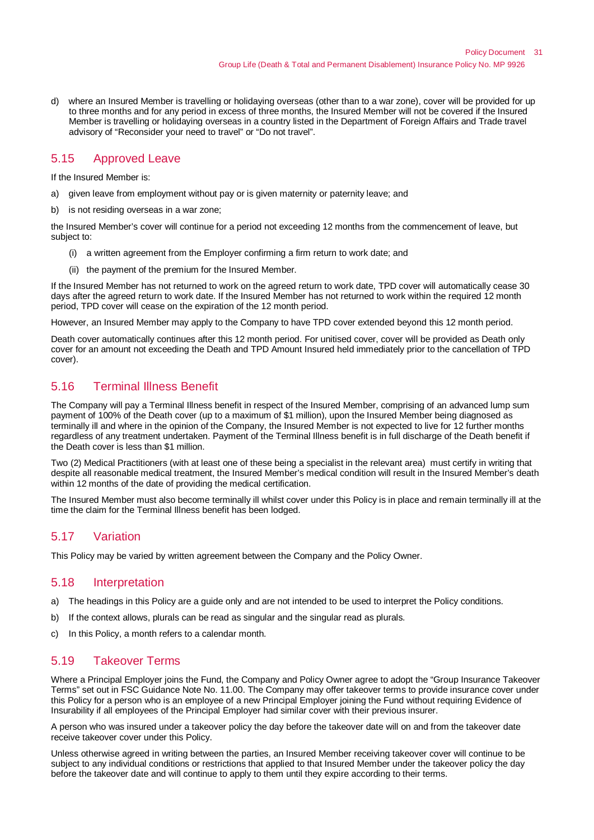d) where an Insured Member is travelling or holidaying overseas (other than to a war zone), cover will be provided for up to three months and for any period in excess of three months, the Insured Member will not be covered if the Insured Member is travelling or holidaying overseas in a country listed in the Department of Foreign Affairs and Trade travel advisory of "Reconsider your need to travel" or "Do not travel".

## <span id="page-30-0"></span>5.15 Approved Leave

If the Insured Member is:

- a) given leave from employment without pay or is given maternity or paternity leave; and
- b) is not residing overseas in a war zone;

the Insured Member's cover will continue for a period not exceeding 12 months from the commencement of leave, but subject to:

- (i) a written agreement from the Employer confirming a firm return to work date; and
- (ii) the payment of the premium for the Insured Member.

If the Insured Member has not returned to work on the agreed return to work date, TPD cover will automatically cease 30 days after the agreed return to work date. If the Insured Member has not returned to work within the required 12 month period, TPD cover will cease on the expiration of the 12 month period.

However, an Insured Member may apply to the Company to have TPD cover extended beyond this 12 month period.

Death cover automatically continues after this 12 month period. For unitised cover, cover will be provided as Death only cover for an amount not exceeding the Death and TPD Amount Insured held immediately prior to the cancellation of TPD cover).

## <span id="page-30-1"></span>5.16 Terminal Illness Benefit

The Company will pay a Terminal Illness benefit in respect of the Insured Member, comprising of an advanced lump sum payment of 100% of the Death cover (up to a maximum of \$1 million), upon the Insured Member being diagnosed as terminally ill and where in the opinion of the Company, the Insured Member is not expected to live for 12 further months regardless of any treatment undertaken. Payment of the Terminal Illness benefit is in full discharge of the Death benefit if the Death cover is less than \$1 million.

Two (2) Medical Practitioners (with at least one of these being a specialist in the relevant area) must certify in writing that despite all reasonable medical treatment, the Insured Member's medical condition will result in the Insured Member's death within 12 months of the date of providing the medical certification.

The Insured Member must also become terminally ill whilst cover under this Policy is in place and remain terminally ill at the time the claim for the Terminal Illness benefit has been lodged.

## <span id="page-30-2"></span>5.17 Variation

This Policy may be varied by written agreement between the Company and the Policy Owner.

### <span id="page-30-3"></span>5.18 Interpretation

- a) The headings in this Policy are a guide only and are not intended to be used to interpret the Policy conditions.
- b) If the context allows, plurals can be read as singular and the singular read as plurals.
- c) In this Policy, a month refers to a calendar month.

## <span id="page-30-4"></span>5.19 Takeover Terms

Where a Principal Employer joins the Fund, the Company and Policy Owner agree to adopt the "Group Insurance Takeover Terms" set out in FSC Guidance Note No. 11.00. The Company may offer takeover terms to provide insurance cover under this Policy for a person who is an employee of a new Principal Employer joining the Fund without requiring Evidence of Insurability if all employees of the Principal Employer had similar cover with their previous insurer.

A person who was insured under a takeover policy the day before the takeover date will on and from the takeover date receive takeover cover under this Policy.

Unless otherwise agreed in writing between the parties, an Insured Member receiving takeover cover will continue to be subject to any individual conditions or restrictions that applied to that Insured Member under the takeover policy the day before the takeover date and will continue to apply to them until they expire according to their terms.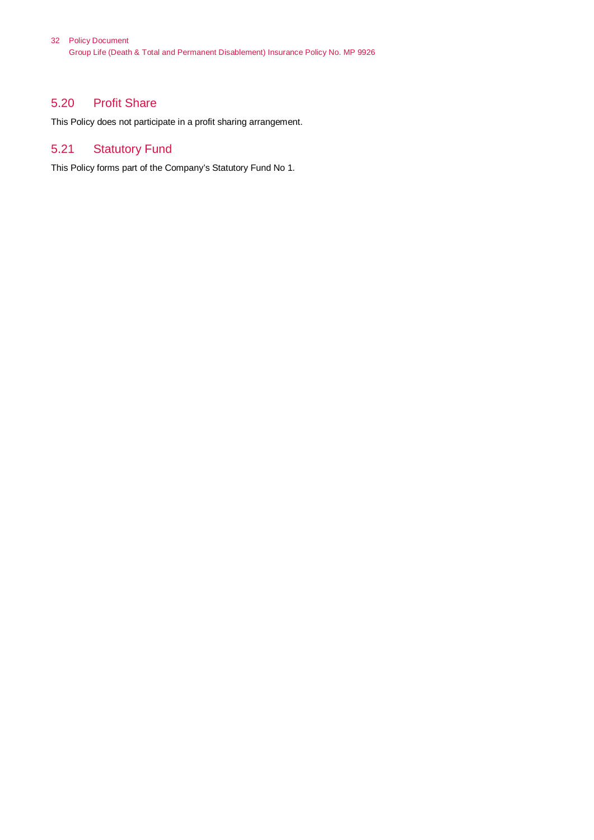## <span id="page-31-0"></span>5.20 Profit Share

This Policy does not participate in a profit sharing arrangement.

## <span id="page-31-1"></span>5.21 Statutory Fund

This Policy forms part of the Company's Statutory Fund No 1.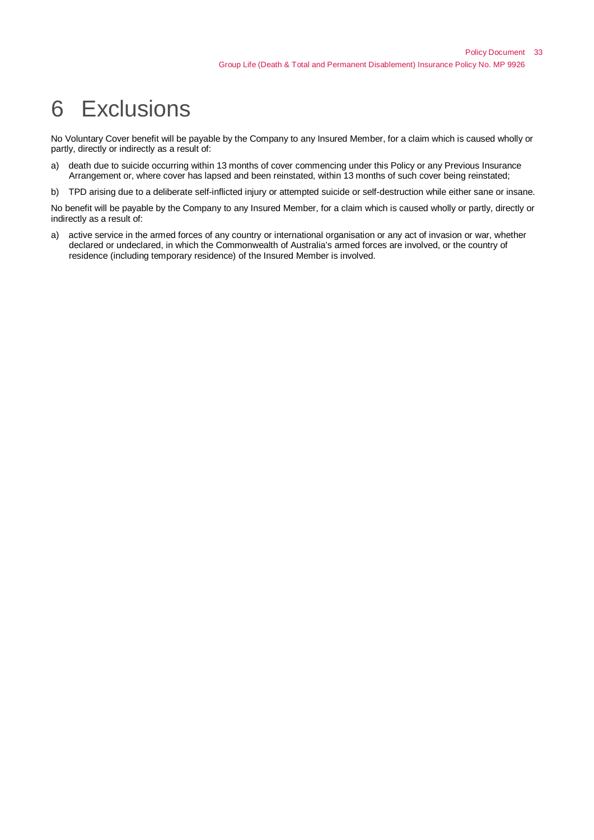## <span id="page-32-0"></span>6 Exclusions

No Voluntary Cover benefit will be payable by the Company to any Insured Member, for a claim which is caused wholly or partly, directly or indirectly as a result of:

- a) death due to suicide occurring within 13 months of cover commencing under this Policy or any Previous Insurance Arrangement or, where cover has lapsed and been reinstated, within 13 months of such cover being reinstated;
- b) TPD arising due to a deliberate self-inflicted injury or attempted suicide or self-destruction while either sane or insane.

No benefit will be payable by the Company to any Insured Member, for a claim which is caused wholly or partly, directly or indirectly as a result of:

a) active service in the armed forces of any country or international organisation or any act of invasion or war, whether declared or undeclared, in which the Commonwealth of Australia's armed forces are involved, or the country of residence (including temporary residence) of the Insured Member is involved.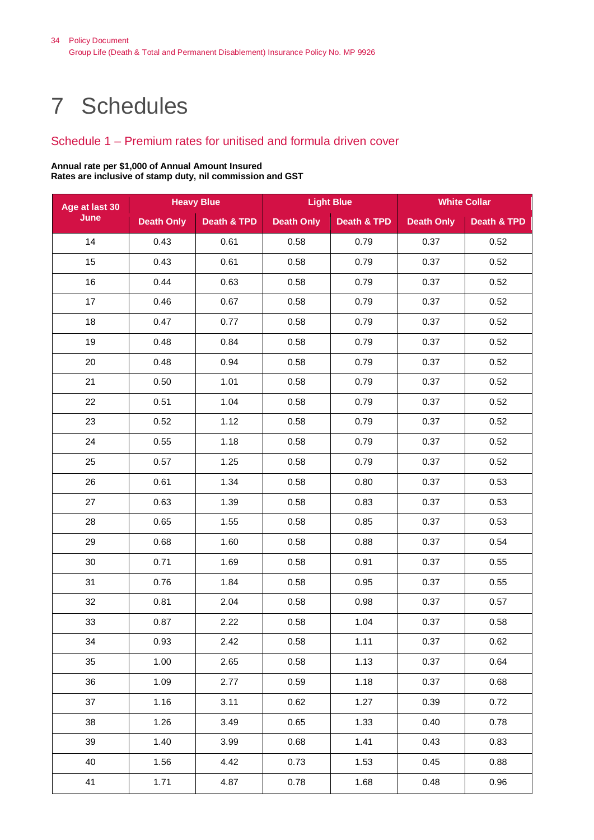## <span id="page-33-0"></span>7 Schedules

## <span id="page-33-1"></span>Schedule 1 – Premium rates for unitised and formula driven cover

## **Age at last 30 June Heavy Blue Light Blue White Collar Death Only Death & TPD Death Only Death & TPD Death Only Death & TPD** 0.43 0.61 0.58 0.79 0.37 0.52 0.43 0.61 0.58 0.79 0.37 0.52 0.44 0.63 0.58 0.79 0.37 0.52 0.46 0.67 0.58 0.79 0.37 0.52 0.47 0.77 0.58 0.79 0.37 0.52 0.48 0.84 0.58 0.79 0.37 0.52 0.48 0.94 0.58 0.79 0.37 0.52 0.50 1.01 0.58 0.79 0.37 0.52 0.51 1.04 0.58 0.79 0.37 0.52 0.52 1.12 0.58 0.79 0.37 0.52 0.55 1.18 0.58 0.79 0.37 0.52 0.57 1.25 0.58 0.79 0.37 0.52 0.61 1.34 0.58 0.80 0.37 0.53 0.63 1.39 0.58 0.83 0.37 0.53 0.65 1.55 0.58 0.85 0.37 0.53 0.68 1.60 0.58 0.88 0.37 0.54 0.71 1.69 0.58 0.91 0.37 0.55 0.76 1.84 0.58 0.95 0.37 0.55 0.81 2.04 0.58 0.98 0.37 0.57 0.87 2.22 0.58 1.04 0.37 0.58 0.93 2.42 0.58 1.11 0.37 0.62 1.00 2.65 0.58 1.13 0.37 0.64 1.09 2.77 0.59 1.18 0.37 0.68 1.16 3.11 0.62 1.27 0.39 0.72 1.26 3.49 0.65 1.33 0.40 0.78 1.40 3.99 0.68 1.41 0.43 0.83 1.56 4.42 0.73 1.53 0.45 0.88 41 | 1.71 | 4.87 | 0.78 | 1.68 | 0.48 | 0.96

#### **Annual rate per \$1,000 of Annual Amount Insured Rates are inclusive of stamp duty, nil commission and GST**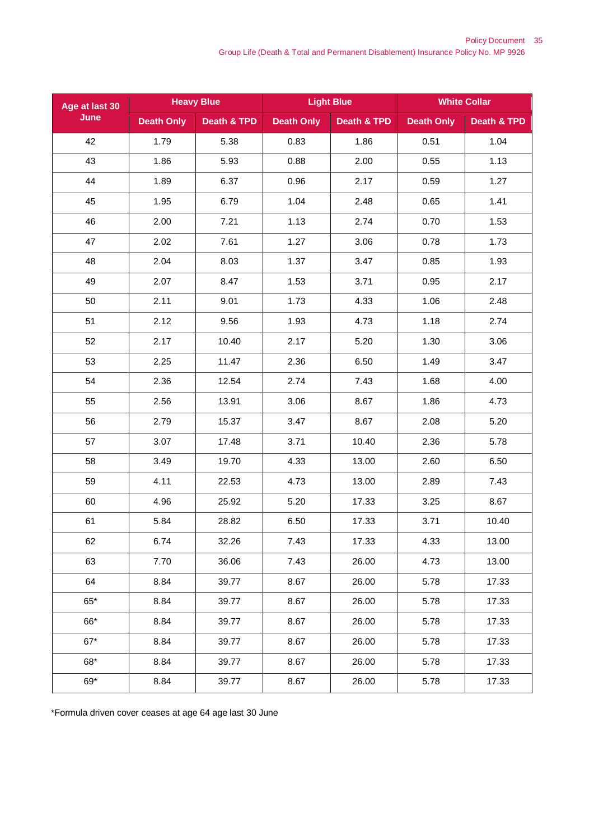| Age at last 30 | <b>Heavy Blue</b> |                        | <b>Light Blue</b> |                        | <b>White Collar</b> |                        |
|----------------|-------------------|------------------------|-------------------|------------------------|---------------------|------------------------|
| June           | <b>Death Only</b> | <b>Death &amp; TPD</b> | <b>Death Only</b> | <b>Death &amp; TPD</b> | <b>Death Only</b>   | <b>Death &amp; TPD</b> |
| 42             | 1.79              | 5.38                   | 0.83              | 1.86                   | 0.51                | 1.04                   |
| 43             | 1.86              | 5.93                   | 0.88              | 2.00                   | 0.55                | 1.13                   |
| 44             | 1.89              | 6.37                   | 0.96              | 2.17                   | 0.59                | 1.27                   |
| 45             | 1.95              | 6.79                   | 1.04              | 2.48                   | 0.65                | 1.41                   |
| 46             | 2.00              | 7.21                   | 1.13              | 2.74                   | 0.70                | 1.53                   |
| 47             | 2.02              | 7.61                   | 1.27              | 3.06                   | 0.78                | 1.73                   |
| 48             | 2.04              | 8.03                   | 1.37              | 3.47                   | 0.85                | 1.93                   |
| 49             | 2.07              | 8.47                   | 1.53              | 3.71                   | 0.95                | 2.17                   |
| 50             | 2.11              | 9.01                   | 1.73              | 4.33                   | 1.06                | 2.48                   |
| 51             | 2.12              | 9.56                   | 1.93              | 4.73                   | 1.18                | 2.74                   |
| 52             | 2.17              | 10.40                  | 2.17              | 5.20                   | 1.30                | 3.06                   |
| 53             | 2.25              | 11.47                  | 2.36              | 6.50                   | 1.49                | 3.47                   |
| 54             | 2.36              | 12.54                  | 2.74              | 7.43                   | 1.68                | 4.00                   |
| 55             | 2.56              | 13.91                  | 3.06              | 8.67                   | 1.86                | 4.73                   |
| 56             | 2.79              | 15.37                  | 3.47              | 8.67                   | 2.08                | 5.20                   |
| 57             | 3.07              | 17.48                  | 3.71              | 10.40                  | 2.36                | 5.78                   |
| 58             | 3.49              | 19.70                  | 4.33              | 13.00                  | 2.60                | 6.50                   |
| 59             | 4.11              | 22.53                  | 4.73              | 13.00                  | 2.89                | 7.43                   |
| 60             | 4.96              | 25.92                  | 5.20              | 17.33                  | 3.25                | 8.67                   |
| 61             | 5.84              | 28.82                  | 6.50              | 17.33                  | 3.71                | 10.40                  |
| 62             | 6.74              | 32.26                  | 7.43              | 17.33                  | 4.33                | 13.00                  |
| 63             | 7.70              | 36.06                  | 7.43              | 26.00                  | 4.73                | 13.00                  |
| 64             | 8.84              | 39.77                  | 8.67              | 26.00                  | 5.78                | 17.33                  |
| $65*$          | 8.84              | 39.77                  | 8.67              | 26.00                  | 5.78                | 17.33                  |
| 66*            | 8.84              | 39.77                  | 8.67              | 26.00                  | 5.78                | 17.33                  |
| $67*$          | 8.84              | 39.77                  | 8.67              | 26.00                  | 5.78                | 17.33                  |
| $68*$          | 8.84              | 39.77                  | 8.67              | 26.00                  | 5.78                | 17.33                  |
| $69*$          | 8.84              | 39.77                  | 8.67              | 26.00                  | 5.78                | 17.33                  |

\*Formula driven cover ceases at age 64 age last 30 June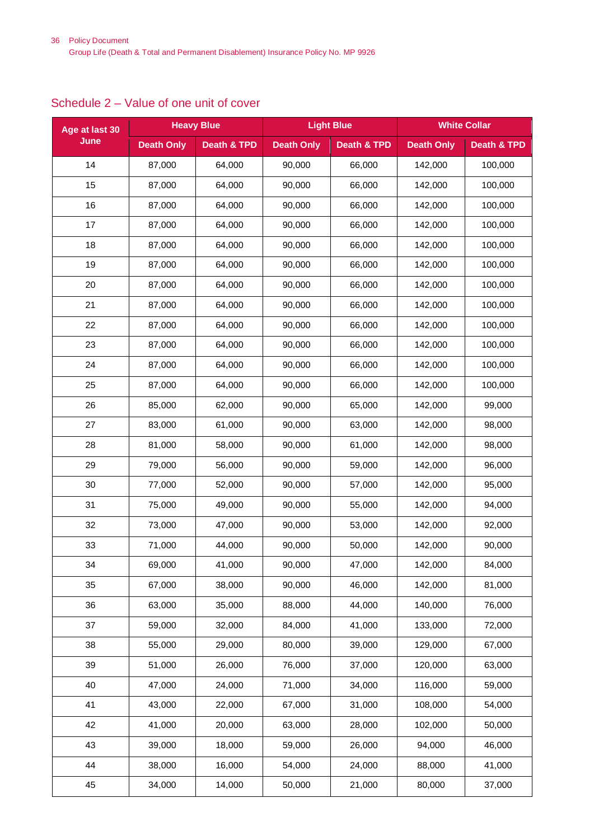## <span id="page-35-0"></span>Schedule 2 – Value of one unit of cover

| Age at last 30 | <b>Heavy Blue</b> |                        | <b>Light Blue</b> |             | <b>White Collar</b> |             |
|----------------|-------------------|------------------------|-------------------|-------------|---------------------|-------------|
| June           | <b>Death Only</b> | <b>Death &amp; TPD</b> | <b>Death Only</b> | Death & TPD | <b>Death Only</b>   | Death & TPD |
| 14             | 87,000            | 64,000                 | 90,000            | 66,000      | 142,000             | 100,000     |
| 15             | 87,000            | 64,000                 | 90,000            | 66,000      | 142,000             | 100,000     |
| 16             | 87,000            | 64,000                 | 90,000            | 66,000      | 142,000             | 100,000     |
| 17             | 87,000            | 64,000                 | 90,000            | 66,000      | 142,000             | 100,000     |
| 18             | 87,000            | 64,000                 | 90,000            | 66,000      | 142,000             | 100,000     |
| 19             | 87,000            | 64,000                 | 90,000            | 66,000      | 142,000             | 100,000     |
| 20             | 87,000            | 64,000                 | 90,000            | 66,000      | 142,000             | 100,000     |
| 21             | 87,000            | 64,000                 | 90,000            | 66,000      | 142,000             | 100,000     |
| 22             | 87,000            | 64,000                 | 90,000            | 66,000      | 142,000             | 100,000     |
| 23             | 87,000            | 64,000                 | 90,000            | 66,000      | 142,000             | 100,000     |
| 24             | 87,000            | 64,000                 | 90,000            | 66,000      | 142,000             | 100,000     |
| 25             | 87,000            | 64,000                 | 90,000            | 66,000      | 142,000             | 100,000     |
| 26             | 85,000            | 62,000                 | 90,000            | 65,000      | 142,000             | 99,000      |
| 27             | 83,000            | 61,000                 | 90,000            | 63,000      | 142,000             | 98,000      |
| 28             | 81,000            | 58,000                 | 90,000            | 61,000      | 142,000             | 98,000      |
| 29             | 79,000            | 56,000                 | 90,000            | 59,000      | 142,000             | 96,000      |
| 30             | 77,000            | 52,000                 | 90,000            | 57,000      | 142,000             | 95,000      |
| 31             | 75,000            | 49,000                 | 90,000            | 55,000      | 142,000             | 94,000      |
| 32             | 73,000            | 47,000                 | 90,000            | 53,000      | 142,000             | 92,000      |
| 33             | 71,000            | 44,000                 | 90,000            | 50,000      | 142,000             | 90,000      |
| 34             | 69,000            | 41,000                 | 90,000            | 47,000      | 142,000             | 84,000      |
| 35             | 67,000            | 38,000                 | 90,000            | 46,000      | 142,000             | 81,000      |
| 36             | 63,000            | 35,000                 | 88,000            | 44,000      | 140,000             | 76,000      |
| 37             | 59,000            | 32,000                 | 84,000            | 41,000      | 133,000             | 72,000      |
| 38             | 55,000            | 29,000                 | 80,000            | 39,000      | 129,000             | 67,000      |
| 39             | 51,000            | 26,000                 | 76,000            | 37,000      | 120,000             | 63,000      |
| 40             | 47,000            | 24,000                 | 71,000            | 34,000      | 116,000             | 59,000      |
| 41             | 43,000            | 22,000                 | 67,000            | 31,000      | 108,000             | 54,000      |
| 42             | 41,000            | 20,000                 | 63,000            | 28,000      | 102,000             | 50,000      |
| 43             | 39,000            | 18,000                 | 59,000            | 26,000      | 94,000              | 46,000      |
| 44             | 38,000            | 16,000                 | 54,000            | 24,000      | 88,000              | 41,000      |
| 45             | 34,000            | 14,000                 | 50,000            | 21,000      | 80,000              | 37,000      |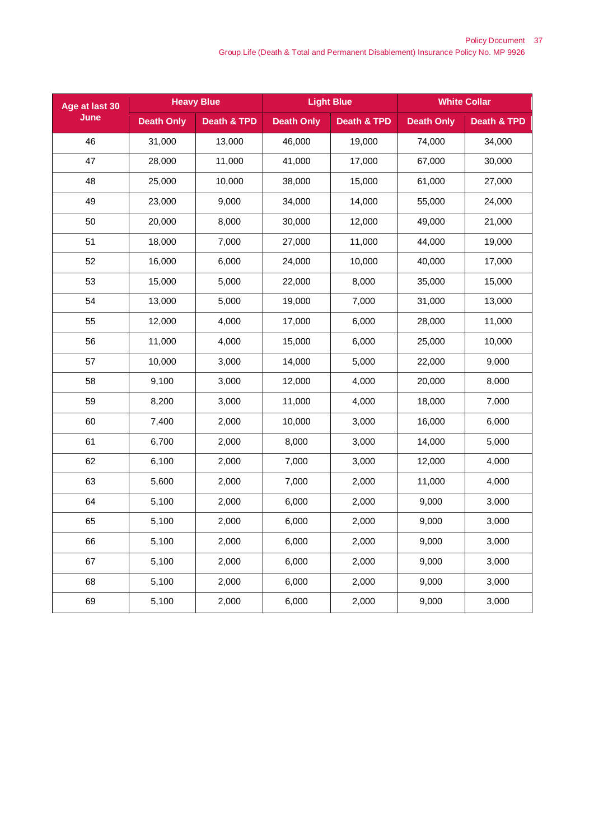| Age at last 30 | <b>Heavy Blue</b> |                        | <b>Light Blue</b> |             | <b>White Collar</b> |                        |
|----------------|-------------------|------------------------|-------------------|-------------|---------------------|------------------------|
| June           | <b>Death Only</b> | <b>Death &amp; TPD</b> | <b>Death Only</b> | Death & TPD | <b>Death Only</b>   | <b>Death &amp; TPD</b> |
| 46             | 31,000            | 13,000                 | 46,000            | 19,000      | 74,000              | 34,000                 |
| 47             | 28,000            | 11,000                 | 41,000            | 17,000      | 67,000              | 30,000                 |
| 48             | 25,000            | 10,000                 | 38,000            | 15,000      | 61,000              | 27,000                 |
| 49             | 23,000            | 9,000                  | 34,000            | 14,000      | 55,000              | 24,000                 |
| 50             | 20,000            | 8,000                  | 30,000            | 12,000      | 49,000              | 21,000                 |
| 51             | 18,000            | 7,000                  | 27,000            | 11,000      | 44,000              | 19,000                 |
| 52             | 16,000            | 6,000                  | 24,000            | 10,000      | 40,000              | 17,000                 |
| 53             | 15,000            | 5,000                  | 22,000            | 8,000       | 35,000              | 15,000                 |
| 54             | 13,000            | 5,000                  | 19,000            | 7,000       | 31,000              | 13,000                 |
| 55             | 12,000            | 4,000                  | 17,000            | 6,000       | 28,000              | 11,000                 |
| 56             | 11,000            | 4,000                  | 15,000            | 6,000       | 25,000              | 10,000                 |
| 57             | 10,000            | 3,000                  | 14,000            | 5,000       | 22,000              | 9,000                  |
| 58             | 9,100             | 3,000                  | 12,000            | 4,000       | 20,000              | 8,000                  |
| 59             | 8,200             | 3,000                  | 11,000            | 4,000       | 18,000              | 7,000                  |
| 60             | 7,400             | 2,000                  | 10,000            | 3,000       | 16,000              | 6,000                  |
| 61             | 6,700             | 2,000                  | 8,000             | 3,000       | 14,000              | 5,000                  |
| 62             | 6,100             | 2,000                  | 7,000             | 3,000       | 12,000              | 4,000                  |
| 63             | 5,600             | 2,000                  | 7,000             | 2,000       | 11,000              | 4,000                  |
| 64             | 5,100             | 2,000                  | 6,000             | 2,000       | 9,000               | 3,000                  |
| 65             | 5,100             | 2,000                  | 6,000             | 2,000       | 9,000               | 3,000                  |
| 66             | 5,100             | 2,000                  | 6,000             | 2,000       | 9,000               | 3,000                  |
| 67             | 5,100             | 2,000                  | 6,000             | 2,000       | 9,000               | 3,000                  |
| 68             | 5,100             | 2,000                  | 6,000             | 2,000       | 9,000               | 3,000                  |
| 69             | 5,100             | 2,000                  | 6,000             | 2,000       | 9,000               | 3,000                  |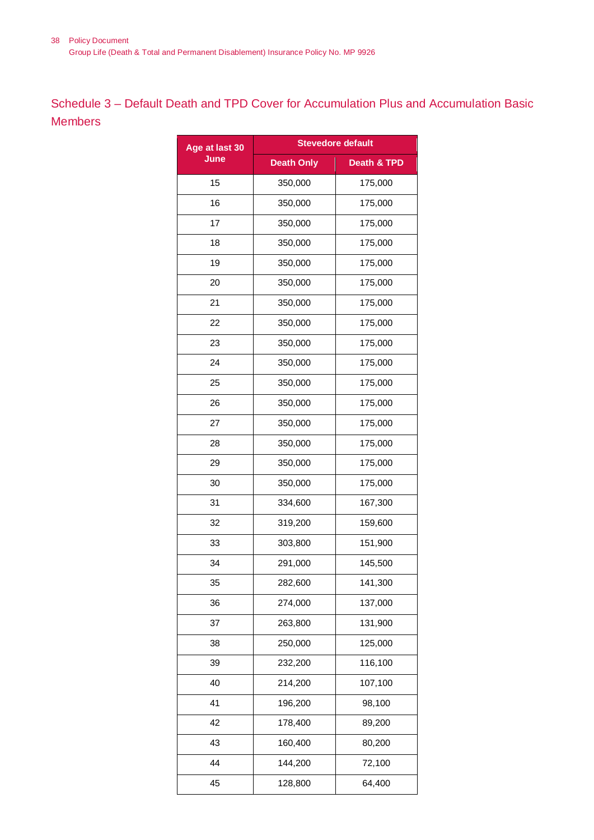<span id="page-37-0"></span>Schedule 3 – Default Death and TPD Cover for Accumulation Plus and Accumulation Basic **Members** 

| Age at last 30 | <b>Stevedore default</b> |                        |  |  |  |
|----------------|--------------------------|------------------------|--|--|--|
| <u>June</u>    | <b>Death Only</b>        | <b>Death &amp; TPD</b> |  |  |  |
| 15             | 350,000                  | 175,000                |  |  |  |
| 16             | 350,000                  | 175,000                |  |  |  |
| 17             | 350,000                  | 175,000                |  |  |  |
| 18             | 350,000                  | 175,000                |  |  |  |
| 19             | 350,000                  | 175,000                |  |  |  |
| 20             | 350,000                  | 175,000                |  |  |  |
| 21             | 350,000                  | 175,000                |  |  |  |
| 22             | 350,000                  | 175,000                |  |  |  |
| 23             | 350,000                  | 175,000                |  |  |  |
| 24             | 350,000                  | 175,000                |  |  |  |
| 25             | 350,000                  | 175,000                |  |  |  |
| 26             | 350,000                  | 175,000                |  |  |  |
| 27             | 350,000                  | 175,000                |  |  |  |
| 28             | 350,000                  | 175,000                |  |  |  |
| 29             | 350,000                  | 175,000                |  |  |  |
| 30             | 350,000                  | 175,000                |  |  |  |
| 31             | 334,600                  | 167,300                |  |  |  |
| 32             | 319,200                  | 159,600                |  |  |  |
| 33             | 303,800                  | 151,900                |  |  |  |
| 34             | 291,000                  | 145,500                |  |  |  |
| 35             | 282,600                  | 141,300                |  |  |  |
| 36             | 274,000                  | 137,000                |  |  |  |
| 37             | 263,800                  | 131,900                |  |  |  |
| 38             | 250,000                  | 125,000                |  |  |  |
| 39             | 232,200                  | 116,100                |  |  |  |
| 40             | 214,200                  | 107,100                |  |  |  |
| 41             | 196,200                  | 98,100                 |  |  |  |
| 42             | 178,400                  | 89,200                 |  |  |  |
| 43             | 160,400                  | 80,200                 |  |  |  |
| 44             | 144,200                  | 72,100                 |  |  |  |
| 45             | 128,800                  | 64,400                 |  |  |  |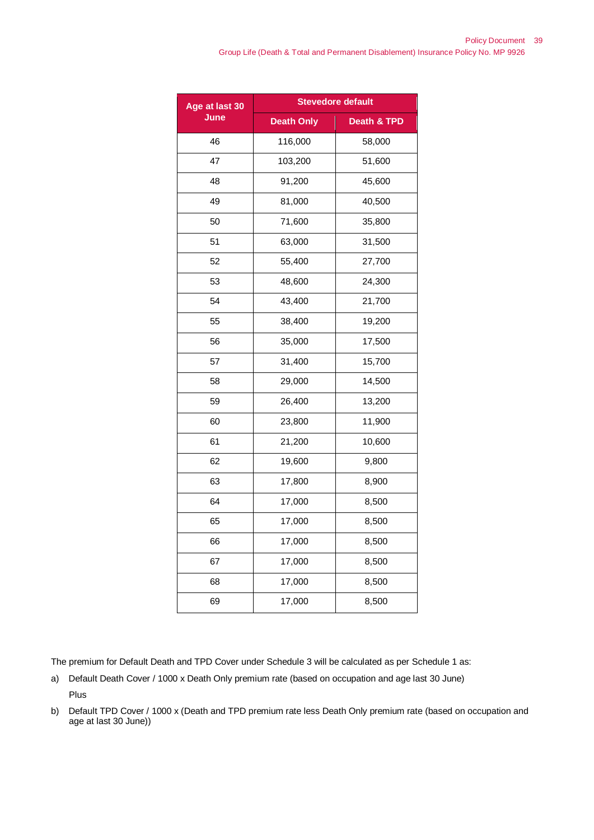| Age at last 30 | <b>Stevedore default</b> |                        |  |  |  |
|----------------|--------------------------|------------------------|--|--|--|
| June           | <b>Death Only</b>        | <b>Death &amp; TPD</b> |  |  |  |
| 46             | 116,000                  | 58,000                 |  |  |  |
| 47             | 103,200                  | 51,600                 |  |  |  |
| 48             | 91,200                   | 45,600                 |  |  |  |
| 49             | 81,000                   | 40,500                 |  |  |  |
| 50             | 71,600                   | 35,800                 |  |  |  |
| 51             | 63,000                   | 31,500                 |  |  |  |
| 52             | 55,400                   | 27,700                 |  |  |  |
| 53             | 48,600                   | 24,300                 |  |  |  |
| 54             | 43,400                   | 21,700                 |  |  |  |
| 55             | 38,400                   | 19,200                 |  |  |  |
| 56             | 35,000                   | 17,500                 |  |  |  |
| 57             | 31,400                   | 15,700                 |  |  |  |
| 58             | 29,000                   | 14,500                 |  |  |  |
| 59             | 26,400                   | 13,200                 |  |  |  |
| 60             | 23,800                   | 11,900                 |  |  |  |
| 61             | 21,200                   | 10,600                 |  |  |  |
| 62             | 19,600                   | 9,800                  |  |  |  |
| 63             | 17,800                   | 8,900                  |  |  |  |
| 64             | 17,000                   | 8,500                  |  |  |  |
| 65             | 17,000                   | 8,500                  |  |  |  |
| 66             | 17,000                   | 8,500                  |  |  |  |
| 67             | 17,000                   | 8,500                  |  |  |  |
| 68             | 17,000                   | 8,500                  |  |  |  |
| 69             | 17,000                   | 8,500                  |  |  |  |

The premium for Default Death and TPD Cover under Schedule 3 will be calculated as per Schedule 1 as:

- a) Default Death Cover / 1000 x Death Only premium rate (based on occupation and age last 30 June) Plus
- b) Default TPD Cover / 1000 x (Death and TPD premium rate less Death Only premium rate (based on occupation and age at last 30 June))